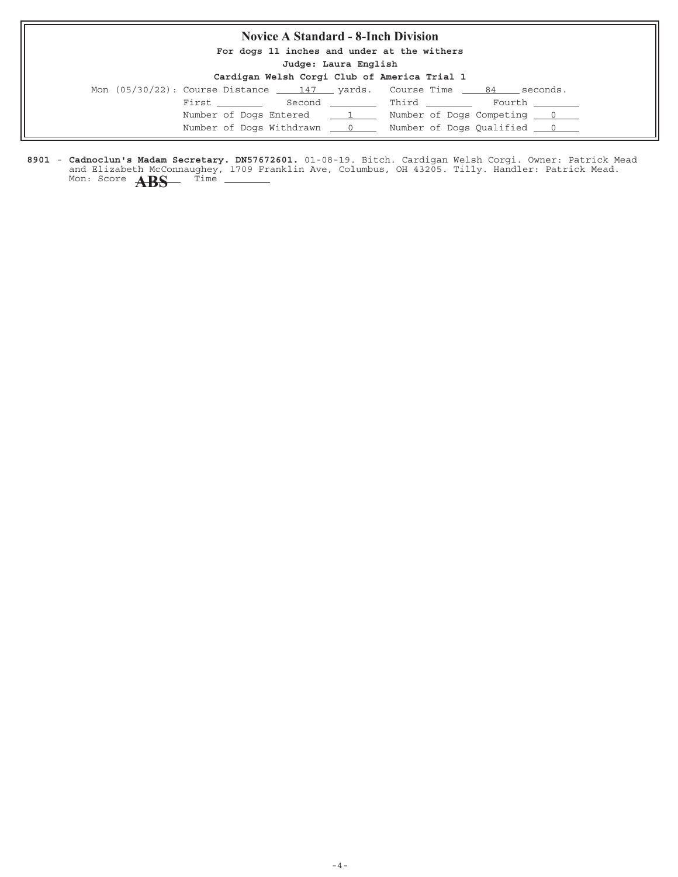### **Novice A Standard - 8-Inch Division**

**For dogs 11 inches and under at the withers**

**Judge: Laura English**

|                                              | $50099$ $\cdot$ $100020$ $11929$ |  |  |  |
|----------------------------------------------|----------------------------------|--|--|--|
| Cardigan Welsh Corgi Club of America Trial 1 |                                  |  |  |  |

|  |  |                            | Mon $(05/30/22)$ : Course Distance $147$ yards. Course Time $84$ seconds. |  |  |
|--|--|----------------------------|---------------------------------------------------------------------------|--|--|
|  |  |                            | First ___________ Second __________ Third _________ Fourth ________       |  |  |
|  |  | Number of Dogs Entered 1   | Number of Dogs Competing 0                                                |  |  |
|  |  | Number of Dogs Withdrawn 0 |                                                                           |  |  |
|  |  |                            |                                                                           |  |  |

8901 - Cadnoclun's Madam Secretary. DN57672601. 01-08-19. Bitch. Cardigan Welsh Corgi. Owner: Patrick Mead and Elizabeth McConnaughey, 1709 Franklin Ave, Columbus, OH 43205. Tilly. Handler: Patrick Mead. **Cadnoclun's Madam Secretary. DN57672601.** Mon: Score **ABS** Time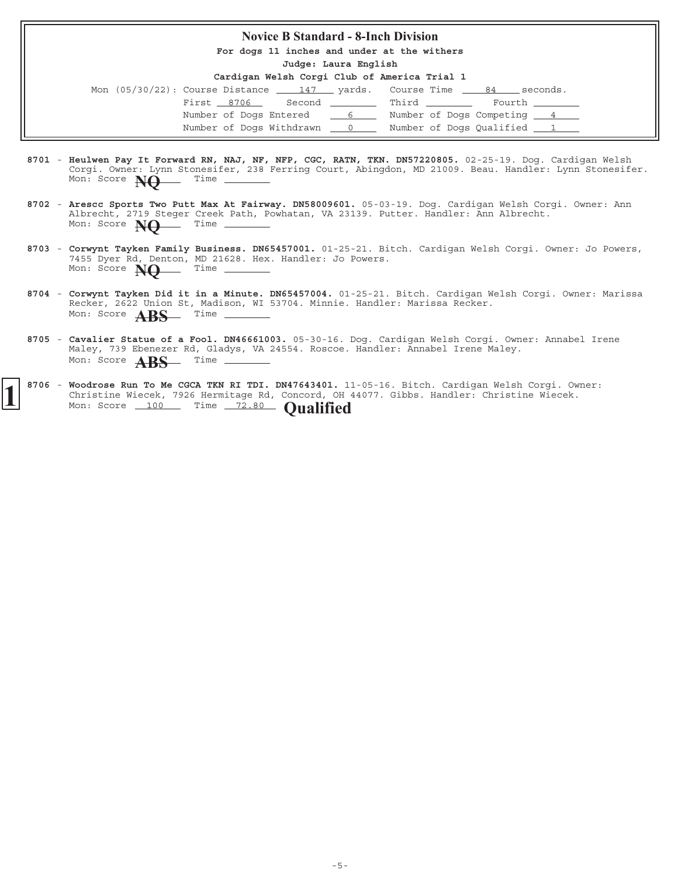#### **Novice B Standard - 8-Inch Division**

**For dogs 11 inches and under at the withers**

**Judge: Laura English**

**Cardigan Welsh Corgi Club of America Trial 1**

|                            |  |              | Mon $(05/30/22)$ : Course Distance $147$ yards. Course Time $84$ seconds. |  |
|----------------------------|--|--------------|---------------------------------------------------------------------------|--|
| First 8706                 |  | Second Third | Fourth                                                                    |  |
| Number of Dogs Entered 6   |  |              | Number of Dogs Competing 4                                                |  |
| Number of Dogs Withdrawn 0 |  |              | Number of Dogs Qualified 1                                                |  |

- 8701 Heulwen Pay It Forward RN, NAJ, NF, NFP, CGC, RATN, TKN. DN57220805. 02-25-19. Dog. Cardigan Welsh Corgi. Owner: Lynn Stonesifer, 238 Ferring Court, Abingdon, MD 21009. Beau. Handler: Lynn Stonesifer. **Heulwen Pay It Forward RN, NAJ, NF, NFP, CGC, RATN, TKN. DN57220805.** Mon: Score  $\overrightarrow{NO}$  Time
- 8702 Arescc Sports Two Putt Max At Fairway. DN58009601. 05-03-19. Dog. Cardigan Welsh Corgi. Owner: Ann Albrecht, 2719 Steger Creek Path, Powhatan, VA 23139. Putter. Handler: Ann Albrecht. **Arescc Sports Two Putt Max At Fairway. DN58009601.** Mon: Score **NQ** Time \_
- 8703 Corwynt Tayken Family Business. DN65457001. 01-25-21. Bitch. Cardigan Welsh Corgi. Owner: Jo Powers, 7455 Dyer Rd, Denton, MD 21628. Hex. Handler: Jo Powers. Mon: Score **NQ** Time
- 8704 Corwynt Tayken Did it in a Minute. DN65457004. 01-25-21. Bitch. Cardigan Welsh Corgi. Owner: Marissa Recker, 2622 Union St, Madison, WI 53704. Minnie. Handler: Marissa Recker. Mon: Score **ABS** Time
- 8705 Cavalier Statue of a Fool. DN46661003. 05-30-16. Dog. Cardigan Welsh Corgi. Owner: Annabel Irene Maley, 739 Ebenezer Rd, Gladys, VA 24554. Roscoe. Handler: Annabel Irene Maley. Mon: Score **ABS** Time -

#### 8706 - Woodrose Run To Me CGCA TKN RI TDI. DN47643401. 11-05-16. Bitch. Cardigan Welsh Corgi. Owner: Christine Wiecek, 7926 Hermitage Rd, Concord, OH 44077. Gibbs. Handler: Christine Wiecek. Mon: Score 100 Time 72.80 **Qualified**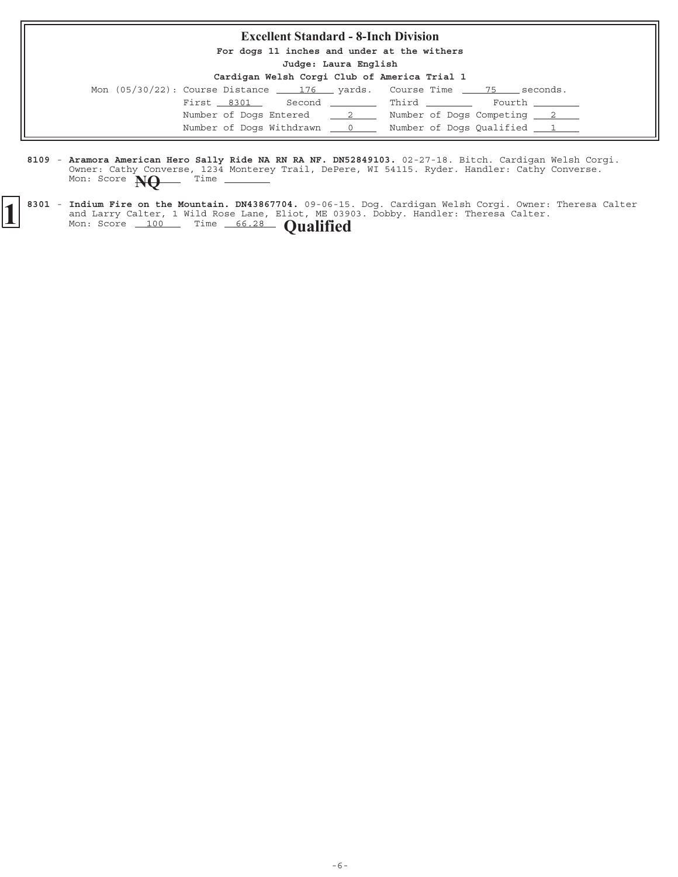#### **Excellent Standard - 8-Inch Division**

**For dogs 11 inches and under at the withers**

**Judge: Laura English**

| Mon $(05/30/22)$ : Course Distance $176$ yards. Course Time $75$ seconds. |  |                            |  |
|---------------------------------------------------------------------------|--|----------------------------|--|
| First 8301 Second Third Fourth                                            |  |                            |  |
| Number of Dogs Entered 2                                                  |  | Number of Dogs Competing 2 |  |
| Number of Dogs Withdrawn ___ 0 ____ Number of Dogs Qualified ___ 1        |  |                            |  |

- 8109 Aramora American Hero Sally Ride NA RN RA NF. DN52849103. 02-27-18. Bitch. Cardigan Welsh Corgi. Owner: Cathy Converse, 1234 Monterey Trail, DePere, WI 54115. Ryder. Handler: Cathy Converse. **Aramora American Hero Sally Ride NA RN RA NF. DN52849103.** Mon: Score **NQ** Time
- 8301 Indium Fire on the Mountain. DN43867704. 09-06-15. Dog. Cardigan Welsh Corgi. Owner: Theresa Calter and Larry Calter, 1 Wild Rose Lane, Eliot, ME 03903. Dobby. Handler: Theresa Calter. **1** 8301 - Indium Fire on the Mountain. DN43867704. 09-06-15 and Larry Calter, 1 Wild Rose Lane, Eliot, ME 039 Mon: Score 100 Time 66.28 **Qualified**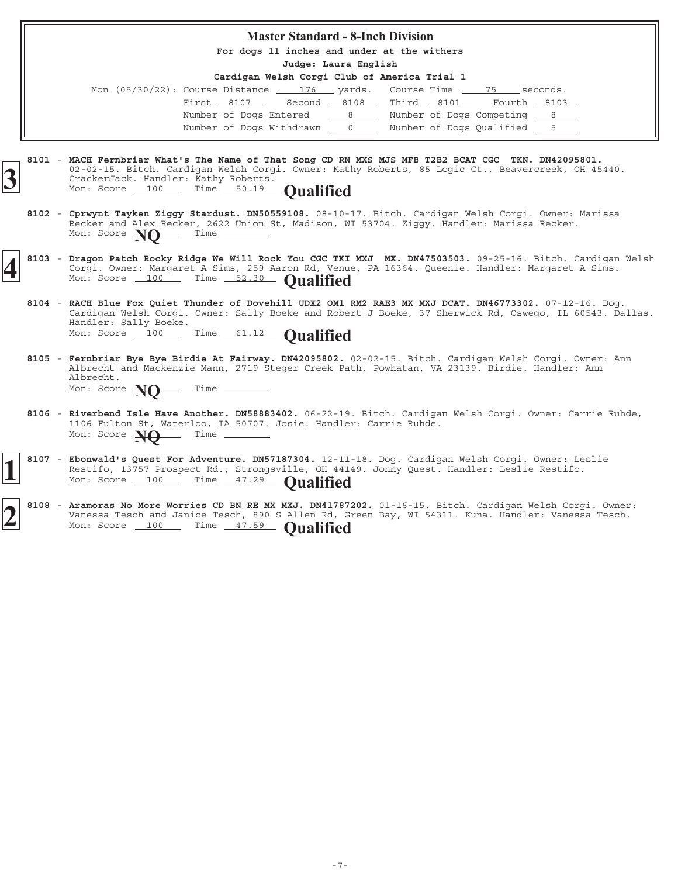#### **Master Standard - 8-Inch Division**

**For dogs 11 inches and under at the withers**

**Judge: Laura English**

| Mon (05/30/22): Course Distance 176 yards. Course Time 75 seconds. |  |  |                            |  |
|--------------------------------------------------------------------|--|--|----------------------------|--|
| First 8107 Second 8108 Third 8101 Fourth 8103                      |  |  |                            |  |
| Number of Dogs Entered 19                                          |  |  | Number of Dogs Competing 8 |  |
| Number of Dogs Withdrawn 0                                         |  |  | Number of Dogs Qualified 5 |  |

- **8101 MACH Fernbriar What's The Name of That Song CD RN MXS MJS MFB T2B2 BCAT CGC TKN. DN42095801.** 02-02-15. Bitch. Cardigan Welsh Corgi. Owner: Kathy Roberts, 85 Logic Ct., Beavercreek, OH 45440. CrackerJack. Handler: Kathy Roberts. **3** Mon: Score 100 Time 50.19 **Qualified**
	- 8102 Cprwynt Tayken Ziggy Stardust. DN50559108. 08-10-17. Bitch. Cardigan Welsh Corgi. Owner: Marissa Recker and Alex Recker, 2622 Union St, Madison, WI 53704. Ziggy. Handler: Marissa Recker.<br>Mon: Score  $M\Omega$  Time \_\_\_\_\_\_\_\_ Mon: Score **NO**
- 8103 Dragon Patch Rocky Ridge We Will Rock You CGC TKI MXJ MX. DN47503503. 09-25-16. Bitch. Cardigan Welsh Corgi. Owner: Margaret A Sims, 259 Aaron Rd, Venue, PA 16364. Queenie. Handler: Margaret A Sims. 8103 - Dragon Patch Rocky Ridge We Will Rock You CGC TKI MXJ MX. DN47503503.<br>
Corgi. Owner: Margaret A Sims, 259 Aaron Rd, Venue, PA 16364. Queenie.<br>
Mon: Score 100 Time 52.30 **Qualified** 
	- 8104 RACH Blue Fox Quiet Thunder of Dovehill UDX2 OM1 RM2 RAE3 MX MXJ DCAT. DN46773302. 07-12-16. Dog. Cardigan Welsh Corgi. Owner: Sally Boeke and Robert J Boeke, 37 Sherwick Rd, Oswego, IL 60543. Dallas. Handler: Sally Boeke. Mon: Score 100 Time 61.12 **Qualified**
	- 8105 Fernbriar Bye Bye Birdie At Fairway. DN42095802. 02-02-15. Bitch. Cardigan Welsh Corgi. Owner: Ann Albrecht and Mackenzie Mann, 2719 Steger Creek Path, Powhatan, VA 23139. Birdie. Handler: Ann Albrecht. Mon: Score **NO** Time -
	- 8106 Riverbend Isle Have Another. DN58883402. 06-22-19. Bitch. Cardigan Welsh Corgi. Owner: Carrie Ruhde, 1106 Fulton St, Waterloo, IA 50707. Josie. Handler: Carrie Ruhde.<br>Mon: Score  $M\Omega$  Time \_\_\_\_\_\_\_ Mon: Score **NQ**
	- 8107 Ebonwald's Quest For Adventure. DN57187304. 12-11-18. Dog. Cardigan Welsh Corgi. Owner: Leslie Restifo, 13757 Prospect Rd., Strongsville, OH 44149. Jonny Quest. Handler: Leslie Restifo. 8107 - Ebonwald's Quest For Adventure. DN57187304. 12-11<br>Restifo, 13757 Prospect Rd., Strongsville, OH 4414<br>Mon: Score 100 Time 47.29 **Qualified**
- 8108 Aramoras No More Worries CD BN RE MX MXJ. DN41787202. 01-16-15. Bitch. Cardigan Welsh Corgi. Owner: Vanessa Tesch and Janice Tesch, 890 S Allen Rd, Green Bay, WI 54311. Kuna. Handler: Vanessa Tesch. Mon: Score 100 Time 47.59 **Qualified**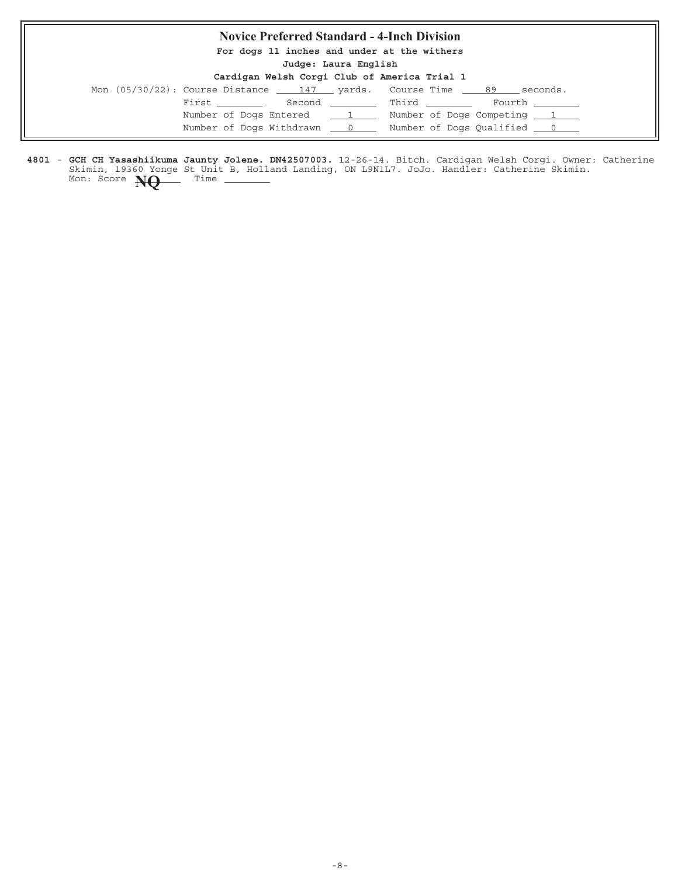### **Novice Preferred Standard - 4-Inch Division**

**For dogs 11 inches and under at the withers**

**Judge: Laura English**

|                                              | budge: madia migitam |  |  |  |
|----------------------------------------------|----------------------|--|--|--|
| Cardigan Welsh Corgi Club of America Trial 1 |                      |  |  |  |

| Mon $(05/30/22)$ : Course Distance $\qquad 147$ yards. Course Time $\qquad 89$ |                                                       | seconds.                          |
|--------------------------------------------------------------------------------|-------------------------------------------------------|-----------------------------------|
| First ________                                                                 | Second Third                                          | Fourth                            |
|                                                                                | Number of Dogs Entered 1 1 Number of Dogs Competing 1 |                                   |
|                                                                                | Number of Dogs Withdrawn 0                            | Number of Dogs Qualified <u>0</u> |

4801 - GCH CH Yasashiikuma Jaunty Jolene. DN42507003. 12-26-14. Bitch. Cardigan Welsh Corgi. Owner: Catherine Skimin, 19360 Yonge St Unit B, Holland Landing, ON L9N1L7. JoJo. Handler: Catherine Skimin. **GCH CH Yasashiikuma Jaunty Jolene. DN42507003.** Mon: Score **NQ** Time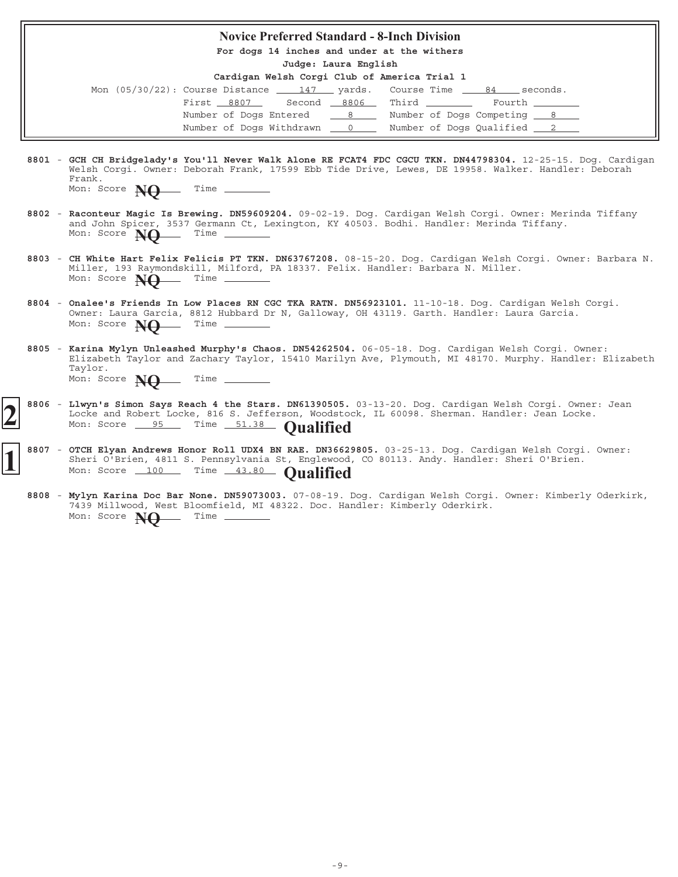#### **Novice Preferred Standard - 8-Inch Division**

**For dogs 14 inches and under at the withers**

**Judge: Laura English**

| Mon $(05/30/22)$ : Course Distance $\underline{\qquad 147}$ yards. Course Time $\underline{\qquad 84}$ seconds. |  |                             |                 |  |
|-----------------------------------------------------------------------------------------------------------------|--|-----------------------------|-----------------|--|
| First 8807 Second 8806 Third                                                                                    |  |                             | Fourth ________ |  |
| Number of Dogs Entered 8                                                                                        |  | Number of Dogs Competing 8  |                 |  |
| Number of Dogs Withdrawn 0                                                                                      |  | Number of Dogs Qualified 22 |                 |  |

- 8801 GCH CH Bridgelady's You'll Never Walk Alone RE FCAT4 FDC CGCU TKN. DN44798304. 12-25-15. Dog. Cardigan Welsh Corgi. Owner: Deborah Frank, 17599 Ebb Tide Drive, Lewes, DE 19958. Walker. Handler: Deborah Frank.
	- Mon: Score **NO** Time -
- 8802 Raconteur Magic Is Brewing. DN59609204. 09-02-19. Dog. Cardigan Welsh Corgi. Owner: Merinda Tiffany and John Spicer, 3537 Germann Ct, Lexington, KY 40503. Bodhi. Handler: Merinda Tiffany. Mon: Score **NO** Time \_
- 8803 CH White Hart Felix Felicis PT TKN. DN63767208. 08-15-20. Dog. Cardigan Welsh Corgi. Owner: Barbara N. Miller, 193 Raymondskill, Milford, PA 18337. Felix. Handler: Barbara N. Miller. Mon: Score **NO** Time -
- 8804 Onalee's Friends In Low Places RN CGC TKA RATN. DN56923101. 11-10-18. Dog. Cardigan Welsh Corgi. Owner: Laura Garcia, 8812 Hubbard Dr N, Galloway, OH 43119. Garth. Handler: Laura Garcia. Mon: Score **NO** Time -
- 8805 Karina Mylyn Unleashed Murphy's Chaos. DN54262504. 06-05-18. Dog. Cardigan Welsh Corgi. Owner: Elizabeth Taylor and Zachary Taylor, 15410 Marilyn Ave, Plymouth, MI 48170. Murphy. Handler: Elizabeth Taylor. **Karina Mylyn Unleashed Murphy's Chaos. DN54262504.** Mon: Score **NQ** Time \_\_\_
- 8806 Llwyn's Simon Says Reach 4 the Stars. DN61390505. 03-13-20. Dog. Cardigan Welsh Corgi. Owner: Jean Locke and Robert Locke, 816 S. Jefferson, Woodstock, IL 60098. Sherman. Handler: Jean Locke. **Llwyn's Simon Says Reach 4 the Stars. DN61390505. 2** Mon: Score 95 Time 51.38 **Qualified**
- 8807 OTCH Elyan Andrews Honor Roll UDX4 BN RAE. DN36629805. 03-25-13. Dog. Cardigan Welsh Corgi. Owner: Sheri O'Brien, 4811 S. Pennsylvania St, Englewood, CO 80113. Andy. Handler: Sheri O'Brien. Mon: Score 100 Time 43.80 **Qualified** 
	- 8808 Mylyn Karina Doc Bar None. DN59073003. 07-08-19. Dog. Cardigan Welsh Corgi. Owner: Kimberly Oderkirk, 7439 Millwood, West Bloomfield, MI 48322. Doc. Handler: Kimberly Oderkirk. Mon: Score **NO** Time -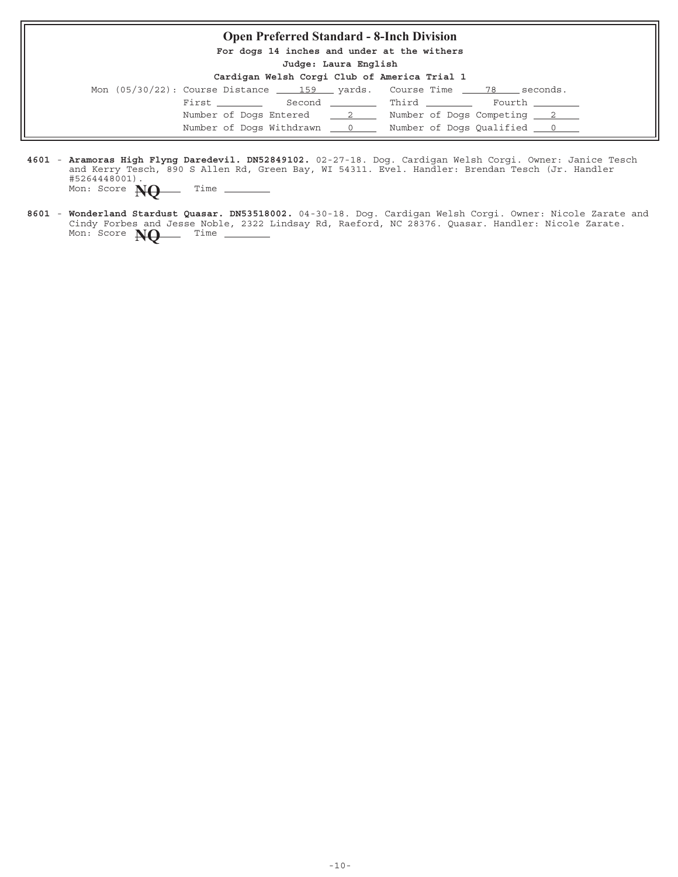## **Open Preferred Standard - 8-Inch Division For dogs 14 inches and under at the withers Judge: Laura English Cardigan Welsh Corgi Club of America Trial 1** Mon  $(05/30/22)$ : Course Distance  $\underline{\hspace{1cm}}$  159  $\underline{\hspace{1cm}}$  yards. Course Time  $\underline{\hspace{1cm}}$  78 seconds.  $\begin{tabular}{llllll} \multicolumn{2}{l}{{\bf First}} & \multicolumn{2}{l}{\bf Second} & \multicolumn{2}{l}{\bf{Third}} & \multicolumn{2}{l}{\bf Courth} \\ \multicolumn{2}{l}{\bf First} & \multicolumn{2}{l}{\bf Second} & \multicolumn{2}{l}{\bf Third} & \multicolumn{2}{l}{\bf Courth} \\ \multicolumn{2}{l}{\bf First} & \multicolumn{2}{l}{\bf Security} & \multicolumn{2}{l}{\bf Courth} \\ \multicolumn{2}{l}{\bf (i)} & \multicolumn{2}{l}{\bf (ii)} & \multicolumn{2}{l}{\bf (iv)} \\ \multicolumn{2$ Number of Dogs Entered  $\frac{2}{2}$  Number of Dogs Competing  $\frac{2}{2}$ Number of Dogs Withdrawn  $\qquad 0$  Number of Dogs Qualified  $\qquad 0$

- 4601 Aramoras High Flyng Daredevil. DN52849102. 02-27-18. Dog. Cardigan Welsh Corgi. Owner: Janice Tesch and Kerry Tesch, 890 S Allen Rd, Green Bay, WI 54311. Evel. Handler: Brendan Tesch (Jr. Handler #5264448001). **Aramoras High Flyng Daredevil. DN52849102.** Mon: Score **NO** Time
- 8601 Wonderland Stardust Quasar. DN53518002. 04-30-18. Dog. Cardigan Welsh Corgi. Owner: Nicole Zarate and Cindy Forbes and Jesse Noble, 2322 Lindsay Rd, Raeford, NC 28376. Quasar. Handler: Nicole Zarate. Mon: Score **NQ** Time \_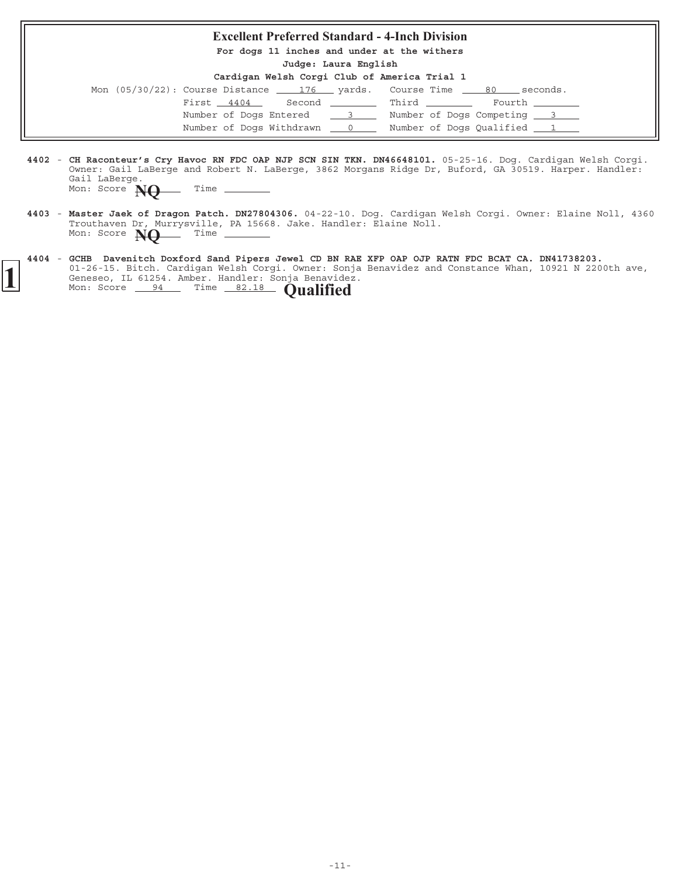#### **Excellent Preferred Standard - 4-Inch Division**

**For dogs 11 inches and under at the withers**

**Judge: Laura English**

**Cardigan Welsh Corgi Club of America Trial 1**

| Mon (05/30/22): Course Distance 176 yards. Course Time |  |              | seconds.<br>80             |
|--------------------------------------------------------|--|--------------|----------------------------|
| First 4404                                             |  | Second Third | Fourth                     |
| Number of Dogs Entered 3                               |  |              | Number of Dogs Competing 3 |
| Number of Dogs Withdrawn 0                             |  |              | Number of Dogs Qualified 1 |

4402 - CH Raconteur's Cry Havoc RN FDC OAP NJP SCN SIN TKN. DN46648101. 05-25-16. Dog. Cardigan Welsh Corgi. Owner: Gail LaBerge and Robert N. LaBerge, 3862 Morgans Ridge Dr, Buford, GA 30519. Harper. Handler: Gail LaBerge. **CH Raconteur's Cry Havoc RN FDC OAP NJP SCN SIN TKN. DN46648101.**

|  | Mon: Score $\bf{N}\Theta$ |  | Time |
|--|---------------------------|--|------|
|--|---------------------------|--|------|

- 4403 Master Jaek of Dragon Patch. DN27804306. 04-22-10. Dog. Cardigan Welsh Corgi. Owner: Elaine Noll, 4360 Trouthaven Dr, Murrysville, PA 15668. Jake. Handler: Elaine Noll. **Master Jaek of Dragon Patch. DN27804306.** Mon: Score  $\bf{NQ}$  Time -
- **4404** 01-26-15. Bitch. Cardigan Welsh Corgi. Owner: Sonja Benavidez and Constance Whan, 10921 N 2200th ave, Geneseo, IL 61254. Amber. Handler: Sonja Benavidez. **GCHB Davenitch Doxford Sand Pipers Jewel CD BN RAE XFP OAP OJP RATN FDC BCAT CA. DN41738203. 1** Genese  $\frac{111}{24}$  Secore  $\frac{94}{24}$  Time  $\frac{82.18}{24}$  **Qualified**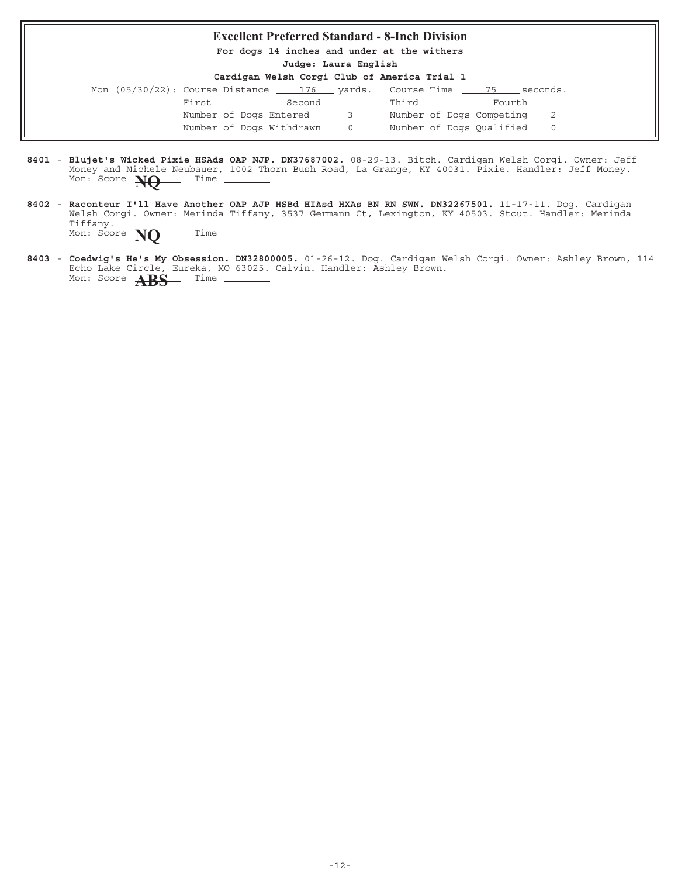#### **Excellent Preferred Standard - 8-Inch Division**

**For dogs 14 inches and under at the withers**

**Judge: Laura English**

| Mon (05/30/22): Course Distance 176 yards. Course Time 75 |              | seconds.                       |
|-----------------------------------------------------------|--------------|--------------------------------|
| First ________                                            | Second Third | Fourth ______                  |
| Number of Dogs Entered 3                                  |              | Number of Dogs Competing 2     |
| Number of Dogs Withdrawn 0                                |              | Number of Dogs Qualified ___ 0 |

- 8401 Blujet's Wicked Pixie HSAds OAP NJP. DN37687002. 08-29-13. Bitch. Cardigan Welsh Corgi. Owner: Jeff Money and Michele Neubauer, 1002 Thorn Bush Road, La Grange, KY 40031. Pixie. Handler: Jeff Money. **Blujet's Wicked Pixie HSAds OAP NJP. DN37687002.** Mon: Score **NQ** Time
- 8402 Raconteur I'll Have Another OAP AJP HSBd HIAsd HXAs BN RN SWN. DN32267501. 11-17-11. Dog. Cardigan Welsh Corgi. Owner: Merinda Tiffany, 3537 Germann Ct, Lexington, KY 40503. Stout. Handler: Merinda Tiffany. **Raconteur I'll Have Another OAP AJP HSBd HIAsd HXAs BN RN SWN. DN32267501.** Mon: Score **NQ** Time -
- 8403 Coedwig's He's My Obsession. DN32800005. 01-26-12. Dog. Cardigan Welsh Corgi. Owner: Ashley Brown, 114 Echo Lake Circle, Eureka, MO 63025. Calvin. Handler: Ashley Brown. **Coedwig's He's My Obsession. DN32800005.** Mon: Score **ABS** Time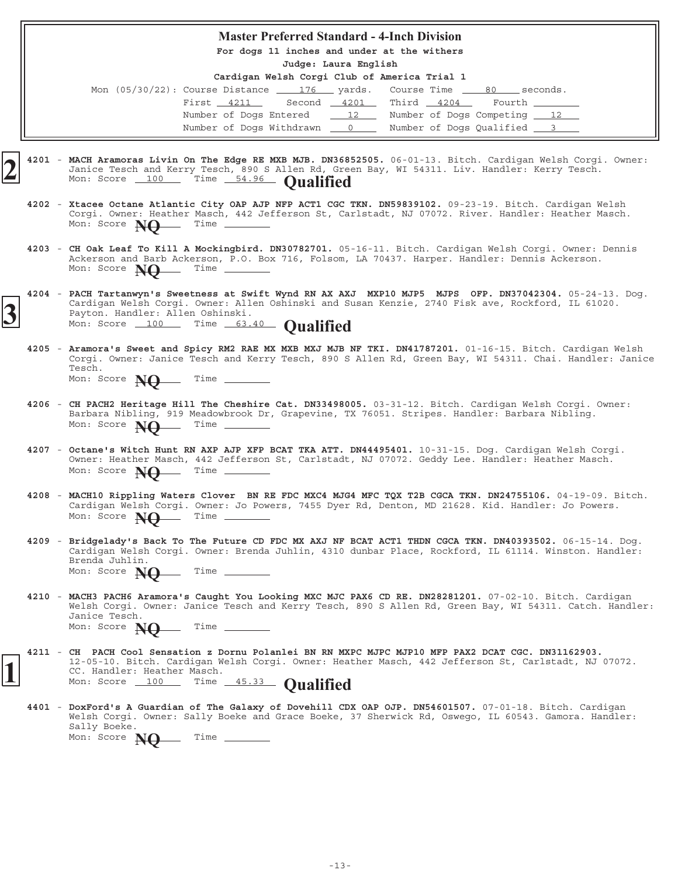#### **Master Preferred Standard - 4-Inch Division**

**For dogs 11 inches and under at the withers**

**Judge: Laura English**

| Mon (05/30/22): Course Distance 176 yards. Course Time 80 seconds. |  |  |                             |  |
|--------------------------------------------------------------------|--|--|-----------------------------|--|
| First 4211 Second 4201 Third 4204                                  |  |  | Fourth                      |  |
| Number of Dogs Entered 12                                          |  |  | Number of Dogs Competing 12 |  |
| Number of Dogs Withdrawn 0                                         |  |  | Number of Dogs Qualified 3  |  |

- 4201 MACH Aramoras Livin On The Edge RE MXB MJB. DN36852505. 06-01-13. Bitch. Cardigan Welsh Corgi. Owner: Janice Tesch and Kerry Tesch, 890 S Allen Rd, Green Bay, WI 54311. Liv. Handler: Kerry Tesch. Mon: Score 100 Time 54.96 **Qualified** 
	- 4202 Xtacee Octane Atlantic City OAP AJP NFP ACT1 CGC TKN. DN59839102. 09-23-19. Bitch. Cardigan Welsh Corgi. Owner: Heather Masch, 442 Jefferson St, Carlstadt, NJ 07072. River. Handler: Heather Masch.<br>Mon: Score **New** Time Time Time Mon: Score **NO**
	- 4203 CH Oak Leaf To Kill A Mockingbird. DN30782701. 05-16-11. Bitch. Cardigan Welsh Corgi. Owner: Dennis Ackerson and Barb Ackerson, P.O. Box 716, Folsom, LA 70437. Harper. Handler: Dennis Ackerson. Mon: Score **NQ** Time \_
- **4204** 05-24-13. Dog. **PACH Tartanwyn's Sweetness at Swift Wynd RN AX AXJ MXP10 MJP5 MJPS OFP. DN37042304.** Cardigan Welsh Corgi. Owner: Allen Oshinski and Susan Kenzie, 2740 Fisk ave, Rockford, IL 61020. Payton. Handler: Allen Oshinski. Cardigan Welsh Corgi. Owner: Allen Oshinski and Su<br>
Payton. Handler: Allen Oshinski.<br>
Mon: Score 100 Time 63.40 **Qualified** 
	- 4205 Aramora's Sweet and Spicy RM2 RAE MX MXB MXJ MJB NF TKI. DN41787201. 01-16-15. Bitch. Cardigan Welsh Corgi. Owner: Janice Tesch and Kerry Tesch, 890 S Allen Rd, Green Bay, WI 54311. Chai. Handler: Janice Tesch. Mon: Score **NO** Time
	- 4206 CH PACH2 Heritage Hill The Cheshire Cat. DN33498005. 03-31-12. Bitch. Cardigan Welsh Corgi. Owner: Barbara Nibling, 919 Meadowbrook Dr, Grapevine, TX 76051. Stripes. Handler: Barbara Nibling. Mon: Score **NO** Time -
	- 4207 Octane's Witch Hunt RN AXP AJP XFP BCAT TKA ATT. DN44495401. 10-31-15. Dog. Cardigan Welsh Corgi. Owner: Heather Masch, 442 Jefferson St, Carlstadt, NJ 07072. Geddy Lee. Handler: Heather Masch. Mon: Score **NO** Time \_
	- 4208 MACH10 Rippling Waters Clover BN RE FDC MXC4 MJG4 MFC TQX T2B CGCA TKN. DN24755106. 04-19-09. Bitch. Cardigan Welsh Corgi. Owner: Jo Powers, 7455 Dyer Rd, Denton, MD 21628. Kid. Handler: Jo Powers. Mon: Score **NO** Time -
	- **4209** 06-15-14. Dog. **Bridgelady's Back To The Future CD FDC MX AXJ NF BCAT ACT1 THDN CGCA TKN. DN40393502.** Cardigan Welsh Corgi. Owner: Brenda Juhlin, 4310 dunbar Place, Rockford, IL 61114. Winston. Handler: Brenda Juhlin. Mon: Score **NO** Time -
	- 4210 MACH3 PACH6 Aramora's Caught You Looking MXC MJC PAX6 CD RE. DN28281201. 07-02-10. Bitch. Cardigan Welsh Corgi. Owner: Janice Tesch and Kerry Tesch, 890 S Allen Rd, Green Bay, WI 54311. Catch. Handler: Janice Tesch. Mon: Score **NO** Time -
	- **4211 CH PACH Cool Sensation z Dornu Polanlei BN RN MXPC MJPC MJP10 MFP PAX2 DCAT CGC. DN31162903.** 12-05-10. Bitch. Cardigan Welsh Corgi. Owner: Heather Masch, 442 Jefferson St, Carlstadt, NJ 07072. CC. Handler: Heather Masch. **1** Mon: Score 100 Time 45.33 **Qualified**
	- 4401 DoxFord's A Guardian of The Galaxy of Dovehill CDX OAP OJP. DN54601507. 07-01-18. Bitch. Cardigan Welsh Corgi. Owner: Sally Boeke and Grace Boeke, 37 Sherwick Rd, Oswego, IL 60543. Gamora. Handler: Sally Boeke. Mon: Score **NO** Time \_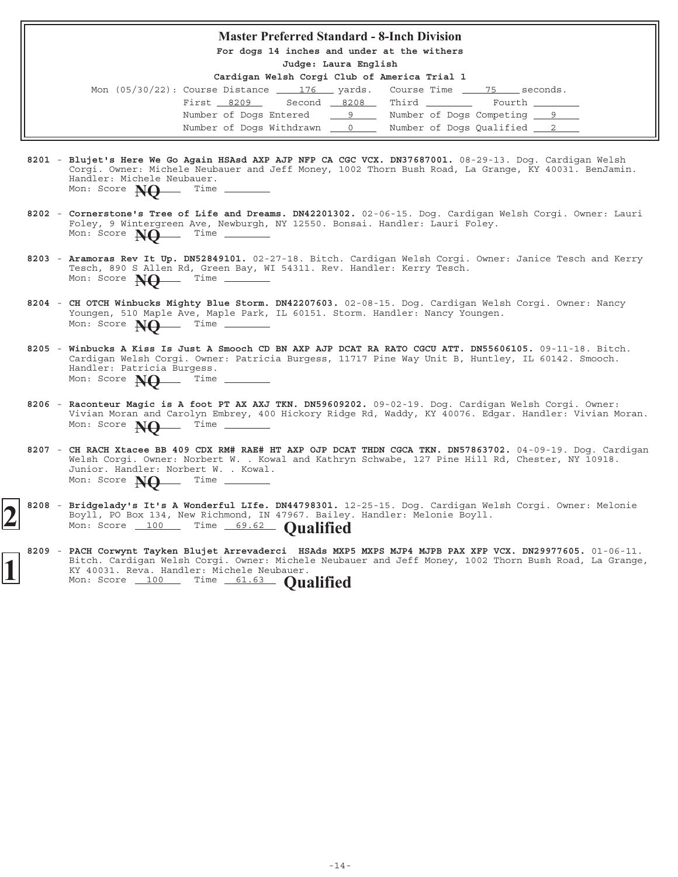#### **Master Preferred Standard - 8-Inch Division**

**For dogs 14 inches and under at the withers**

**Judge: Laura English**

| Mon $(05/30/22)$ : Course Distance $\underline{\qquad 176}$ yards. Course Time $\underline{\qquad 75}$ seconds. |                                         |  |                            |  |
|-----------------------------------------------------------------------------------------------------------------|-----------------------------------------|--|----------------------------|--|
|                                                                                                                 | First 8209 Second 8208 Third The Fourth |  |                            |  |
|                                                                                                                 | Number of Dogs Entered 9                |  | Number of Dogs Competing 9 |  |
|                                                                                                                 | Number of Dogs Withdrawn 0              |  | Number of Dogs Qualified 2 |  |

- 8201 Blujet's Here We Go Again HSAsd AXP AJP NFP CA CGC VCX. DN37687001. 08-29-13. Dog. Cardigan Welsh Corgi. Owner: Michele Neubauer and Jeff Money, 1002 Thorn Bush Road, La Grange, KY 40031. BenJamin. Handler: Michele Neubauer.<br>Mon: Score **Net** Time Mon: Score **NQ**
- 8202 Cornerstone's Tree of Life and Dreams. DN42201302. 02-06-15. Dog. Cardigan Welsh Corgi. Owner: Lauri Foley, 9 Wintergreen Ave, Newburgh, NY 12550. Bonsai. Handler: Lauri Foley. Mon: Score **NO** Time -
- 8203 Aramoras Rev It Up. DN52849101. 02-27-18. Bitch. Cardigan Welsh Corgi. Owner: Janice Tesch and Kerry Tesch, 890 S Allen Rd, Green Bay, WI 54311. Rev. Handler: Kerry Tesch. **Aramoras Rev It Up. DN52849101.** Mon: Score **NO** Time -
- 8204 CH OTCH Winbucks Mighty Blue Storm. DN42207603. 02-08-15. Dog. Cardigan Welsh Corgi. Owner: Nancy Youngen, 510 Maple Ave, Maple Park, IL 60151. Storm. Handler: Nancy Youngen. Mon: Score **NO** Time -
- 8205 Winbucks A Kiss Is Just A Smooch CD BN AXP AJP DCAT RA RATO CGCU ATT. DN55606105. 09-11-18. Bitch. Cardigan Welsh Corgi. Owner: Patricia Burgess, 11717 Pine Way Unit B, Huntley, IL 60142. Smooch. Handler: Patricia Burgess. Mon: Score **NQ** Time
- 8206 Raconteur Magic is A foot PT AX AXJ TKN. DN59609202. 09-02-19. Dog. Cardigan Welsh Corgi. Owner: Vivian Moran and Carolyn Embrey, 400 Hickory Ridge Rd, Waddy, KY 40076. Edgar. Handler: Vivian Moran. Mon: Score **NQ** Time
- **8207** 04-09-19. Dog. Cardigan **CH RACH Xtacee BB 409 CDX RM# RAE# HT AXP OJP DCAT THDN CGCA TKN. DN57863702.** Welsh Corgi. Owner: Norbert W. . Kowal and Kathryn Schwabe, 127 Pine Hill Rd, Chester, NY 10918. Junior. Handler: Norbert W. . Kowal.<br>Mon: Score **NO** Time Mon: Score **NO**
- 8208 Bridgelady's It's A Wonderful LIfe. DN44798301. 12-25-15. Dog. Cardigan Welsh Corgi. Owner: Melonie Boyll, PO Box 134, New Richmond, IN 47967. Bailey. Handler: Melonie Boyll. **Boy11, 10 Bonderful LIFE.** Time 69.62 **Qualified**
- 8209 PACH Corwynt Tayken Blujet Arrevaderci HSAds MXP5 MXPS MJP4 MJPB PAX XFP VCX. DN29977605. 01-06-11. Bitch. Cardigan Welsh Corgi. Owner: Michele Neubauer and Jeff Money, 1002 Thorn Bush Road, La Grange, KY 40031. Reva. Handler: Michele Neubauer. **11 40001.** Revu. **1100** Time 61.63 **Qualified**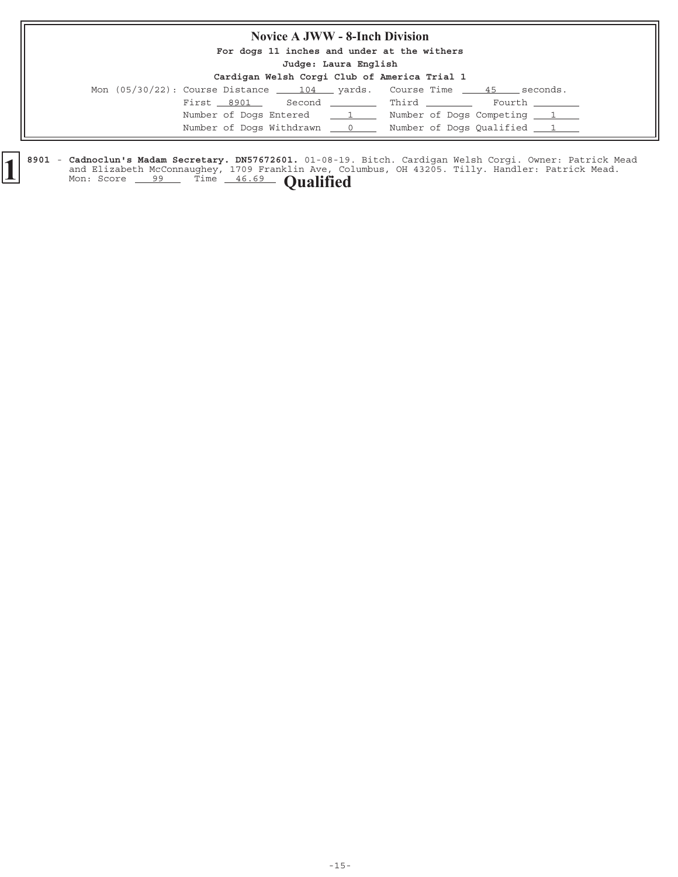### **Novice A JWW - 8-Inch Division**

**For dogs 11 inches and under at the withers**

**Judge: Laura English**

| Cardigan Welsh Corgi Club of America Trial 1 |  |  |  |  |  |  |  |
|----------------------------------------------|--|--|--|--|--|--|--|
|----------------------------------------------|--|--|--|--|--|--|--|

|            |                                  | Mon $(05/30/22)$ : Course Distance $104$ yards. Course Time $45$ seconds. |
|------------|----------------------------------|---------------------------------------------------------------------------|
| First 8901 | Second __________ Third ________ | Fourth ________                                                           |
|            | Number of Dogs Entered 11        | Number of Dogs Competing 1                                                |
|            | Number of Dogs Withdrawn 0       | Number of Dogs Qualified 1                                                |

8901 - Cadnoclun's Madam Secretary. DN57672601. 01-08-19. Bitch. Cardigan Welsh Corgi. Owner: Patrick Mead and Elizabeth McConnaughey, 1709 Franklin Ave, Columbus, OH 43205. Tilly. Handler: Patrick Mead. **Cadnoclun's Madam Secretary. DN57672601.** 01-08-19 and Elizabeth McConnaughey, 1709 Franklin Ave, Co. Mon: Score 99 Time 46.69 **Qualified**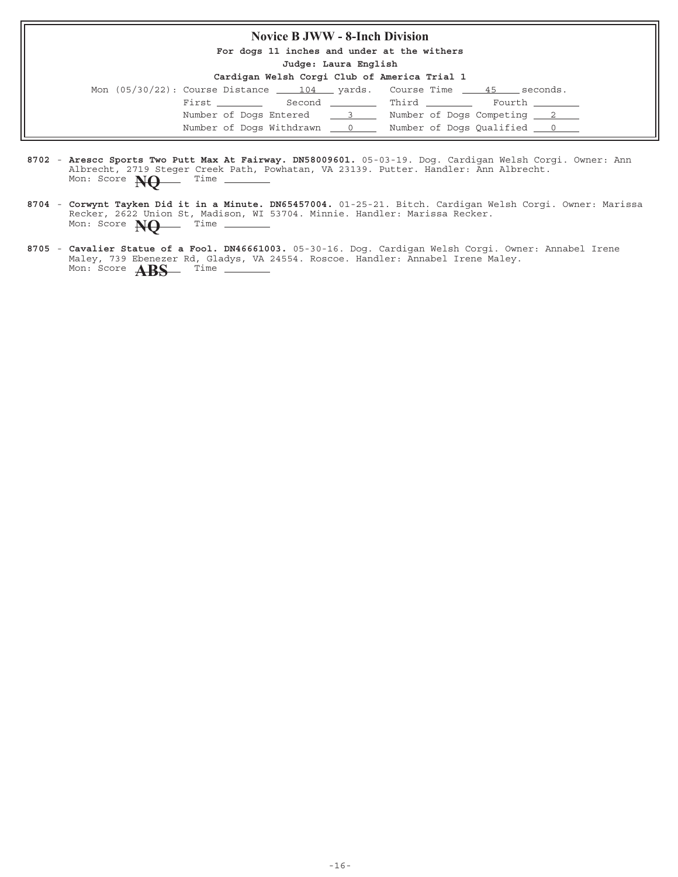### **Novice B JWW - 8-Inch Division**

**For dogs 11 inches and under at the withers**

**Judge: Laura English**

| Mon $(05/30/22)$ : Course Distance $\underline{\qquad 104}$ yards. Course Time $\underline{\qquad 45}$ seconds. |  |                                  |  |                 |
|-----------------------------------------------------------------------------------------------------------------|--|----------------------------------|--|-----------------|
| First _________                                                                                                 |  | Second __________ Third ________ |  | Fourth ________ |
| Number of Dogs Entered 3                                                                                        |  | Number of Dogs Competing 2       |  |                 |
| Number of Dogs Withdrawn ___ 0                                                                                  |  | Number of Dogs Qualified 0       |  |                 |

- 8702 Arescc Sports Two Putt Max At Fairway. DN58009601. 05-03-19. Dog. Cardigan Welsh Corgi. Owner: Ann Albrecht, 2719 Steger Creek Path, Powhatan, VA 23139. Putter. Handler: Ann Albrecht. Mon: Score **NQ** Time
- 8704 Corwynt Tayken Did it in a Minute. DN65457004. 01-25-21. Bitch. Cardigan Welsh Corgi. Owner: Marissa Recker, 2622 Union St, Madison, WI 53704. Minnie. Handler: Marissa Recker. **Corwynt Tayken Did it in a Minute. DN65457004.** Mon: Score **NQ** Time
- 8705 Cavalier Statue of a Fool. DN46661003. 05-30-16. Dog. Cardigan Welsh Corgi. Owner: Annabel Irene Maley, 739 Ebenezer Rd, Gladys, VA 24554. Roscoe. Handler: Annabel Irene Maley. **Cavalier Statue of a Fool. DN46661003.** Mon: Score **ABS** Time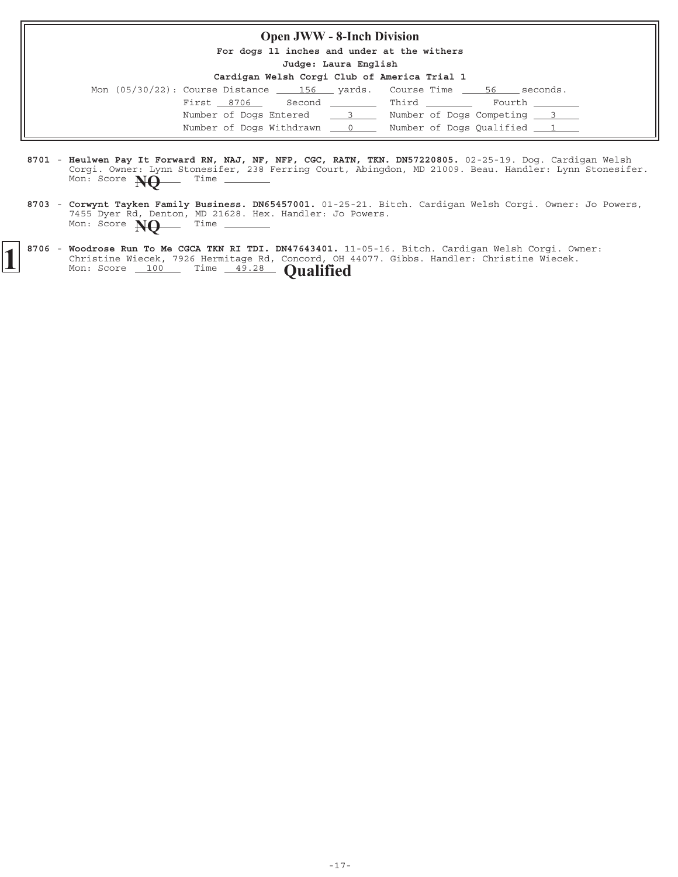#### **Open JWW - 8-Inch Division**

**For dogs 11 inches and under at the withers**

**Judge: Laura English**

| Cardigan Welsh Corgi Club of America Trial 1 |  |  |  |  |  |  |  |
|----------------------------------------------|--|--|--|--|--|--|--|
|----------------------------------------------|--|--|--|--|--|--|--|

| Mon $(05/30/22)$ : Course Distance $\underline{\hspace{1cm}}$ 156 $\underline{\hspace{1cm}}$ yards. Course Time $\underline{\hspace{1cm}}$ 56 $\underline{\hspace{1cm}}$ |          |              | seconds.                   |  |
|--------------------------------------------------------------------------------------------------------------------------------------------------------------------------|----------|--------------|----------------------------|--|
| First 8706                                                                                                                                                               |          | Second Third | Fourth _______             |  |
| Number of Dogs Entered                                                                                                                                                   | $\sim$ 3 |              | Number of Dogs Competing 3 |  |
| Number of Dogs Withdrawn 0                                                                                                                                               |          |              | Number of Dogs Qualified 1 |  |

- 8701 Heulwen Pay It Forward RN, NAJ, NF, NFP, CGC, RATN, TKN. DN57220805. 02-25-19. Dog. Cardigan Welsh Corgi. Owner: Lynn Stonesifer, 238 Ferring Court, Abingdon, MD 21009. Beau. Handler: Lynn Stonesifer. **Heulwen Pay It Forward RN, NAJ, NF, NFP, CGC, RATN, TKN. DN57220805.** Mon: Score **NQ** Time
- 8703 Corwynt Tayken Family Business. DN65457001. 01-25-21. Bitch. Cardigan Welsh Corgi. Owner: Jo Powers, 7455 Dyer Rd, Denton, MD 21628. Hex. Handler: Jo Powers. **Corwynt Tayken Family Business. DN65457001.** Mon: Score **NQ** Time \_
- 8706 Woodrose Run To Me CGCA TKN RI TDI. DN47643401. 11-05-16. Bitch. Cardigan Welsh Corgi. Owner: Christine Wiecek, 7926 Hermitage Rd, Concord, OH 44077. Gibbs. Handler: Christine Wiecek. **1** 8706 - Woodrose Run To Me CGCA TKN RI TDI. DN47643401. 11<br>Christine Wiecek, 7926 Hermitage Rd, Concord, OH<br>Mon: Score 100 Time 49.28 **Qualified**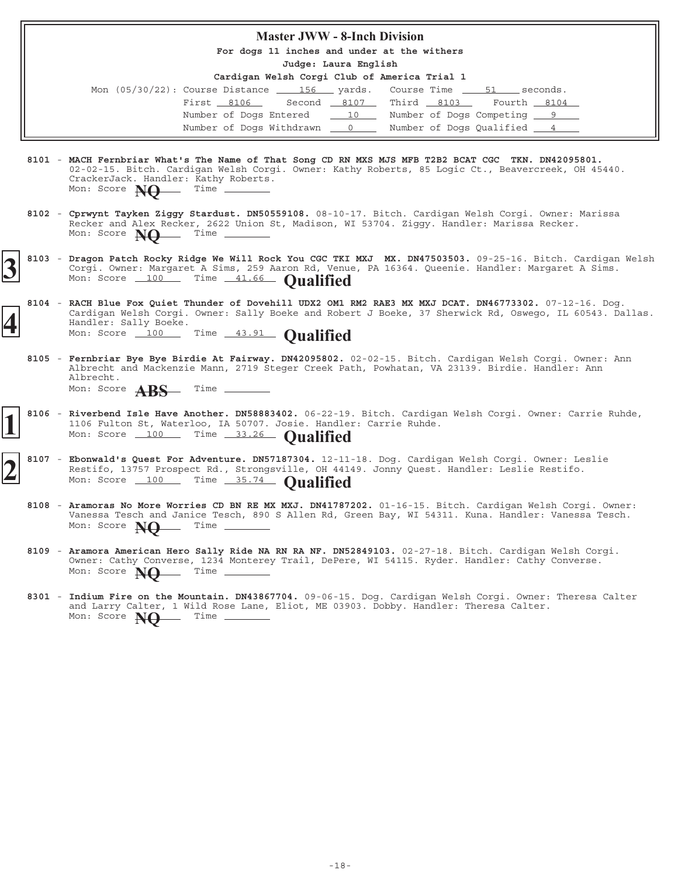## **Master JWW - 8-Inch Division For dogs 11 inches and under at the withers Judge: Laura English Cardigan Welsh Corgi Club of America Trial 1** Mon  $(05/30/22)$ : Course Distance  $\underline{\hspace{1cm}}$  156 yards. Course Time  $\underline{\hspace{1cm}}$  51 seconds. First  $8106$  Second  $8107$  Third  $8103$  Fourth  $8104$ Number of Dogs Entered 10 Number of Dogs Competing 9 Number of Dogs Withdrawn  $\qquad 0 \qquad$  Number of Dogs Qualified

- **8101 MACH Fernbriar What's The Name of That Song CD RN MXS MJS MFB T2B2 BCAT CGC TKN. DN42095801.** 02-02-15. Bitch. Cardigan Welsh Corgi. Owner: Kathy Roberts, 85 Logic Ct., Beavercreek, OH 45440. CrackerJack. Handler: Kathy Roberts.<br>Mon: Score **Netcherry Time** Mon: Score **NO**
- 8102 Cprwynt Tayken Ziggy Stardust. DN50559108. 08-10-17. Bitch. Cardigan Welsh Corgi. Owner: Marissa Recker and Alex Recker, 2622 Union St, Madison, WI 53704. Ziggy. Handler: Marissa Recker. Mon: Score **NO** Time -
- 8103 Dragon Patch Rocky Ridge We Will Rock You CGC TKI MXJ MX. DN47503503. 09-25-16. Bitch. Cardigan Welsh Corgi. Owner: Margaret A Sims, 259 Aaron Rd, Venue, PA 16364. Queenie. Handler: Margaret A Sims. 8103 - Dragon Patch Rocky Ridge We Will Rock You CGC TKI MXJ MX. DN47503503.<br>
Sorgi. Owner: Margaret A Sims, 259 Aaron Rd, Venue, PA 16364. Queenie.<br>
Mon: Score 100 Time 41.66 **Qualified**
- 8104 RACH Blue Fox Quiet Thunder of Dovehill UDX2 OM1 RM2 RAE3 MX MXJ DCAT. DN46773302. 07-12-16. Dog. Cardigan Welsh Corgi. Owner: Sally Boeke and Robert J Boeke, 37 Sherwick Rd, Oswego, IL 60543. Dallas. Handler: Sally Boeke. **4** Mon: Score 100 Time 43.91 **Qualified**
	- 8105 Fernbriar Bye Bye Birdie At Fairway. DN42095802. 02-02-15. Bitch. Cardigan Welsh Corgi. Owner: Ann Albrecht and Mackenzie Mann, 2719 Steger Creek Path, Powhatan, VA 23139. Birdie. Handler: Ann Albrecht. Mon: Score **ABS** Time -
- 8106 Riverbend Isle Have Another. DN58883402. 06-22-19. Bitch. Cardigan Welsh Corgi. Owner: Carrie Ruhde, 1106 Fulton St, Waterloo, IA 50707. Josie. Handler: Carrie Ruhde. **Riverbend Isle Have Another. DN58883402. 1** Mon: Score 100 Time 33.26 **Qualified**
- 8107 Ebonwald's Quest For Adventure. DN57187304. 12-11-18. Dog. Cardigan Welsh Corgi. Owner: Leslie Restifo, 13757 Prospect Rd., Strongsville, OH 44149. Jonny Quest. Handler: Leslie Restifo. **2** 8107 - Ebonwald's Quest For Adventure. DN57187304. 12-11<br>Restifo, 13757 Prospect Rd., Strongsville, OH 441.<br>Mon: Score 100 Time 35.74 **Qualified** 
	- 8108 Aramoras No More Worries CD BN RE MX MXJ. DN41787202. 01-16-15. Bitch. Cardigan Welsh Corgi. Owner: Vanessa Tesch and Janice Tesch, 890 S Allen Rd, Green Bay, WI 54311. Kuna. Handler: Vanessa Tesch. Mon: Score **NO** Time -
	- 8109 Aramora American Hero Sally Ride NA RN RA NF. DN52849103. 02-27-18. Bitch. Cardigan Welsh Corgi. Owner: Cathy Converse, 1234 Monterey Trail, DePere, WI 54115. Ryder. Handler: Cathy Converse. **Aramora American Hero Sally Ride NA RN RA NF. DN52849103.** Mon: Score **NO** Time \_
	- 8301 Indium Fire on the Mountain. DN43867704. 09-06-15. Dog. Cardigan Welsh Corgi. Owner: Theresa Calter and Larry Calter, 1 Wild Rose Lane, Eliot, ME 03903. Dobby. Handler: Theresa Calter. **Indium Fire on the Mountain. DN43867704.** Mon: Score **NO** Time \_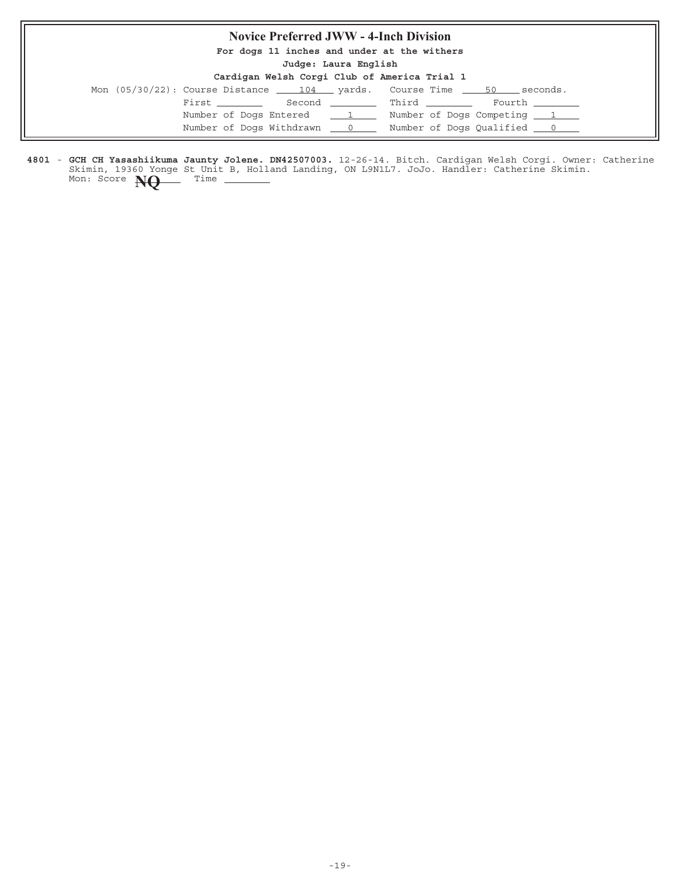### **Novice Preferred JWW - 4-Inch Division**

**For dogs 11 inches and under at the withers**

**Judge: Laura English**

| Cardigan Welsh Corgi Club of America Trial 1 |  |  |  |  |  |  |  |
|----------------------------------------------|--|--|--|--|--|--|--|
|----------------------------------------------|--|--|--|--|--|--|--|

| Mon $(05/30/22)$ : Course Distance $\qquad 104$ yards. Course Time 50 |                            |                                                     | seconds. |
|-----------------------------------------------------------------------|----------------------------|-----------------------------------------------------|----------|
| First ________                                                        |                            | Second Third Fourth                                 |          |
|                                                                       |                            | Number of Dogs Entered 1 Number of Dogs Competing 1 |          |
|                                                                       | Number of Dogs Withdrawn 0 |                                                     |          |

4801 - GCH CH Yasashiikuma Jaunty Jolene. DN42507003. 12-26-14. Bitch. Cardigan Welsh Corgi. Owner: Catherine Skimin, 19360 Yonge St Unit B, Holland Landing, ON L9N1L7. JoJo. Handler: Catherine Skimin. **GCH CH Yasashiikuma Jaunty Jolene. DN42507003.** Mon: Score **NQ** Time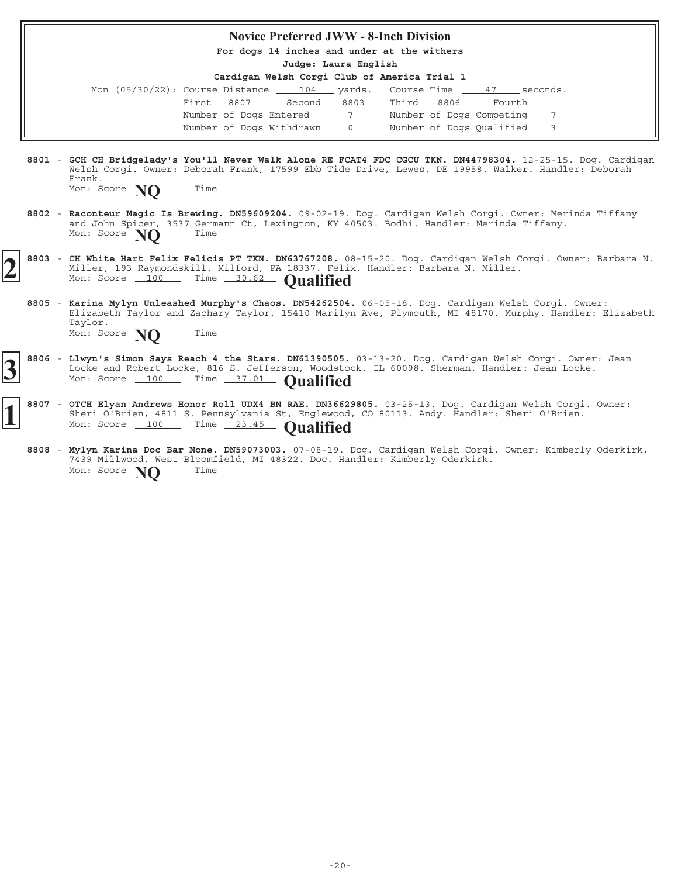| <b>Novice Preferred JWW - 8-Inch Division</b>                                                                                                                                                                                                                     |
|-------------------------------------------------------------------------------------------------------------------------------------------------------------------------------------------------------------------------------------------------------------------|
| For dogs 14 inches and under at the withers<br>Judge: Laura English                                                                                                                                                                                               |
| Cardigan Welsh Corgi Club of America Trial 1                                                                                                                                                                                                                      |
| Mon $(05/30/22)$ : Course Distance $\underline{\qquad 104}$ yards. Course Time $\underline{\qquad 47}$ seconds.                                                                                                                                                   |
| Second 8803 Third 8806 Fourth<br>First 8807                                                                                                                                                                                                                       |
| Number of Dogs Entered 77 Number of Dogs Competing 77                                                                                                                                                                                                             |
| Number of Dogs Withdrawn 0 0 Number of Dogs Qualified 3                                                                                                                                                                                                           |
|                                                                                                                                                                                                                                                                   |
| 8801 - GCH CH Bridgelady's You'll Never Walk Alone RE FCAT4 FDC CGCU TKN. DN44798304. 12-25-15. Dog. Cardigan<br>Welsh Corqi. Owner: Deborah Frank, 17599 Ebb Tide Drive, Lewes, DE 19958. Walker. Handler: Deborah<br>Frank.                                     |
| Mon: Score $N\Theta$ Time                                                                                                                                                                                                                                         |
| 8802 - Raconteur Magic Is Brewing. DN59609204. 09-02-19. Dog. Cardigan Welsh Corgi. Owner: Merinda Tiffany<br>and John Spicer, 3537 Germann Ct, Lexington, KY 40503. Bodhi. Handler: Merinda Tiffany.<br>Mon: Score $M\Omega$ Time _______                        |
| 8803 - CH White Hart Felix Felicis PT TKN. DN63767208. 08-15-20. Dog. Cardigan Welsh Corgi. Owner: Barbara N.<br>Miller, 193 Raymondskill, Milford, PA 18337. Felix. Handler: Barbara N. Miller.<br>Mon: Score 100 Time 30.62 Oualified                           |
| 8805 - Karina Mylyn Unleashed Murphy's Chaos. DN54262504. 06-05-18. Dog. Cardigan Welsh Corgi. Owner:<br>Elizabeth Taylor and Zachary Taylor, 15410 Marilyn Ave, Plymouth, MI 48170. Murphy. Handler: Elizabeth<br>Taylor.<br>Mon: Score $\mathbb{N} \Theta$ Time |
| 8806 - Llwyn's Simon Says Reach 4 the Stars. DN61390505. 03-13-20. Dog. Cardigan Welsh Corgi. Owner: Jean<br>Locke and Robert Locke, 816 S. Jefferson, Woodstock, IL 60098. Sherman. Handler: Jean Locke.<br>Mon: Score 100 Time 37.01 Qualified                  |
| 8807 - OTCH Elyan Andrews Honor Roll UDX4 BN RAE. DN36629805. 03-25-13. Dog. Cardigan Welsh Corgi. Owner:<br>Sheri O'Brien, 4811 S. Pennsylvania St, Englewood, CO 80113. Andy. Handler: Sheri O'Brien.<br>Mon: Score 100 Time 23.45 Qualified                    |

8808 - Mylyn Karina Doc Bar None. DN59073003. 07-08-19. Dog. Cardigan Welsh Corgi. Owner: Kimberly Oderkirk, 7439 Millwood, West Bloomfield, MI 48322. Doc. Handler: Kimberly Oderkirk. **Mylyn Karina Doc Bar None. DN59073003.** Mon: Score **NQ** Time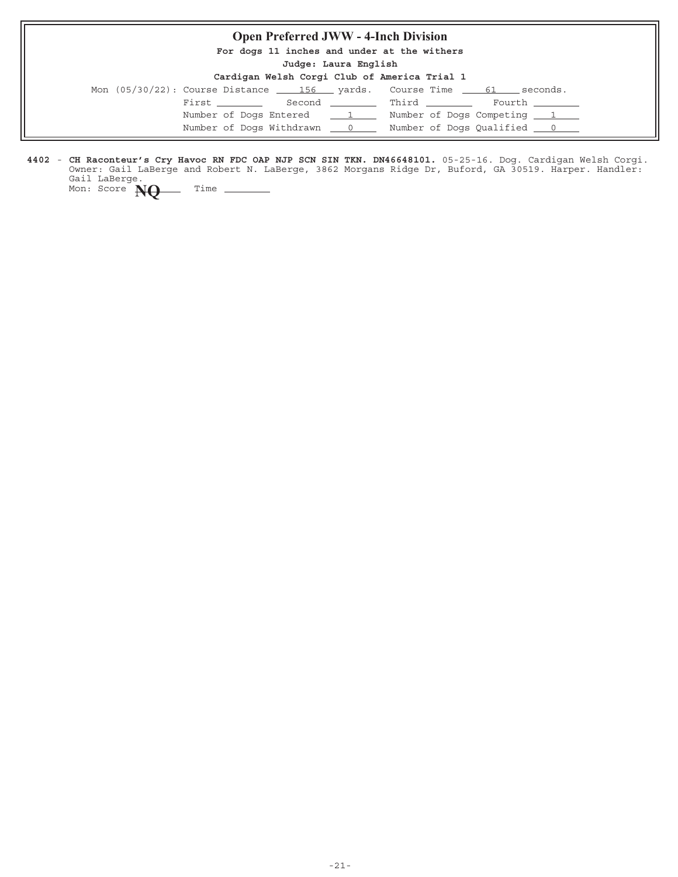| <b>Open Preferred JWW - 4-Inch Division</b>                                                |
|--------------------------------------------------------------------------------------------|
| For dogs 11 inches and under at the withers                                                |
| Judge: Laura English                                                                       |
| Cardigan Welsh Corgi Club of America Trial 1                                               |
| Mon $(05/30/22)$ : Course Distance $\underline{\qquad}$ 156 yards. Course Time 61 seconds. |
| First Second Third Fourth                                                                  |
| Number of Dogs Entered 1 Number of Dogs Competing 1                                        |
| Number of Dogs Withdrawn ___ 0 ____ Number of Dogs Qualified ___ 0 ___                     |

4402 - CH Raconteur's Cry Havoc RN FDC OAP NJP SCN SIN TKN. DN46648101. 05-25-16. Dog. Cardigan Welsh Corgi. Owner: Gail LaBerge and Robert N. LaBerge, 3862 Morgans Ridge Dr, Buford, GA 30519. Harper. Handler: Gail LaBerge. **CH Raconteur's Cry Havoc RN FDC OAP NJP SCN SIN TKN. DN46648101.**

Mon: Score **NQ** Time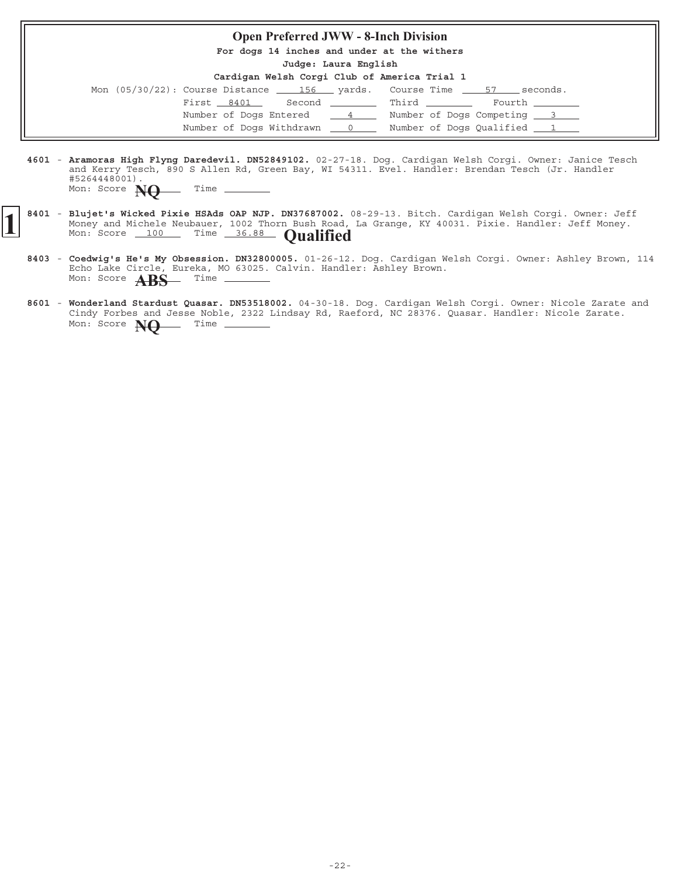#### **Open Preferred JWW - 8-Inch Division**

**For dogs 14 inches and under at the withers**

**Judge: Laura English**

| Mon (05/30/22): Course Distance 156 yards. Course Time 57 seconds. |                                  |                            |
|--------------------------------------------------------------------|----------------------------------|----------------------------|
| First 8401                                                         | Second __________ Third ________ | Fourth ________            |
| Number of Dogs Entered 1                                           |                                  | Number of Dogs Competing 3 |
| Number of Dogs Withdrawn 0                                         |                                  | Number of Dogs Qualified 1 |

- 4601 Aramoras High Flyng Daredevil. DN52849102. 02-27-18. Dog. Cardigan Welsh Corgi. Owner: Janice Tesch and Kerry Tesch, 890 S Allen Rd, Green Bay, WI 54311. Evel. Handler: Brendan Tesch (Jr. Handler #5264448001). Mon: Score **NO** Time -
- 8401 Blujet's Wicked Pixie HSAds OAP NJP. DN37687002. 08-29-13. Bitch. Cardigan Welsh Corgi. Owner: Jeff Money and Michele Neubauer, 1002 Thorn Bush Road, La Grange, KY 40031. Pixie. Handler: Jeff Money. **Blujet's Wicked Pixie HSAds OAP NJP. DN37687002.** (Money and Michele Neubauer, 1002 Thorn Bush Road, Mon: Score 100 Time 36.88 **Qualified** 
	- 8403 Coedwig's He's My Obsession. DN32800005. 01-26-12. Dog. Cardigan Welsh Corgi. Owner: Ashley Brown, 114 Echo Lake Circle, Eureka, MO 63025. Calvin. Handler: Ashley Brown. **Coedwig's He's My Obsession. DN32800005.** Mon: Score **ABS** Time
	- 8601 Wonderland Stardust Quasar. DN53518002. 04-30-18. Dog. Cardigan Welsh Corgi. Owner: Nicole Zarate and Cindy Forbes and Jesse Noble, 2322 Lindsay Rd, Raeford, NC 28376. Quasar. Handler: Nicole Zarate. **Wonderland Stardust Quasar. DN53518002.** Mon: Score **NO** Time \_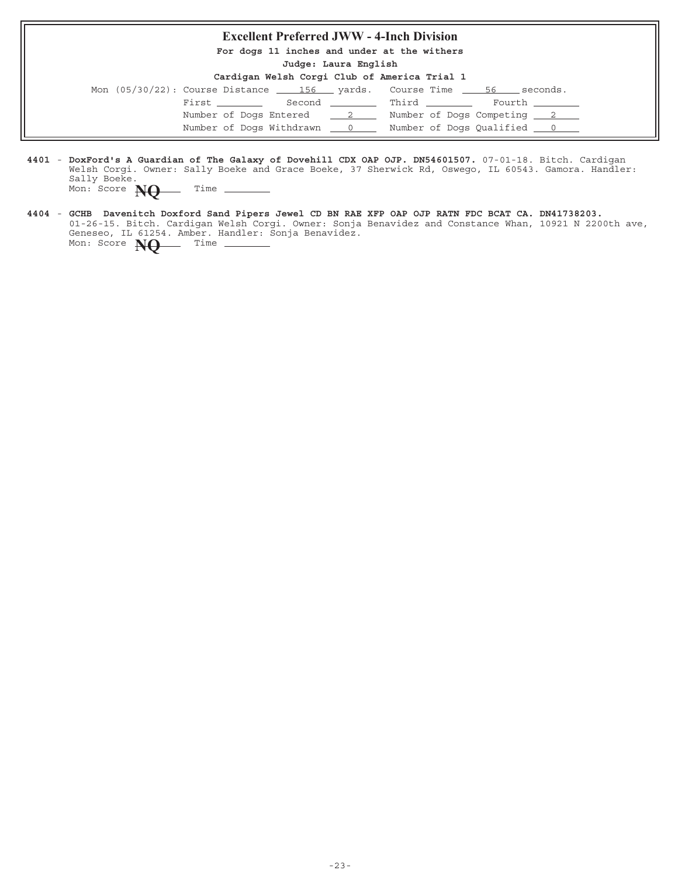## **Excellent Preferred JWW - 4-Inch Division For dogs 11 inches and under at the withers Judge: Laura English Cardigan Welsh Corgi Club of America Trial 1** Mon  $(05/30/22)$ : Course Distance  $\underline{\hspace{1cm}}$  156  $\underline{\hspace{1cm}}$  yards. Course Time  $\underline{\hspace{1cm}}$  56  $\underline{\hspace{1cm}}$  seconds.  $\begin{tabular}{lllllllll} \multicolumn{2}{l}{{\bf First}} & \multicolumn{2}{l}{\bf Second} & \multicolumn{2}{l}{\bf{Initial}} & \multicolumn{2}{l}{\bf Fourth} & \multicolumn{2}{l}{\bf Fourth} \end{tabular}$ Number of Dogs Entered  $\frac{2}{2}$  Number of Dogs Competing  $\frac{2}{2}$ Number of Dogs Withdrawn  $\qquad 0 \qquad$  Number of Dogs Qualified  $\qquad 0 \qquad$

- 4401 DoxFord's A Guardian of The Galaxy of Dovehill CDX OAP OJP. DN54601507. 07-01-18. Bitch. Cardigan Welsh Corgi. Owner: Sally Boeke and Grace Boeke, 37 Sherwick Rd, Oswego, IL 60543. Gamora. Handler: Sally Boeke. Mon: Score **NO** Time
- **4404 GCHB Davenitch Doxford Sand Pipers Jewel CD BN RAE XFP OAP OJP RATN FDC BCAT CA. DN41738203.** 01-26-15. Bitch. Cardigan Welsh Corgi. Owner: Sonja Benavidez and Constance Whan, 10921 N 2200th ave, Geneseo, IL 61254. Amber. Handler: Sonja Benavidez. Mon: Score **NQ** Time -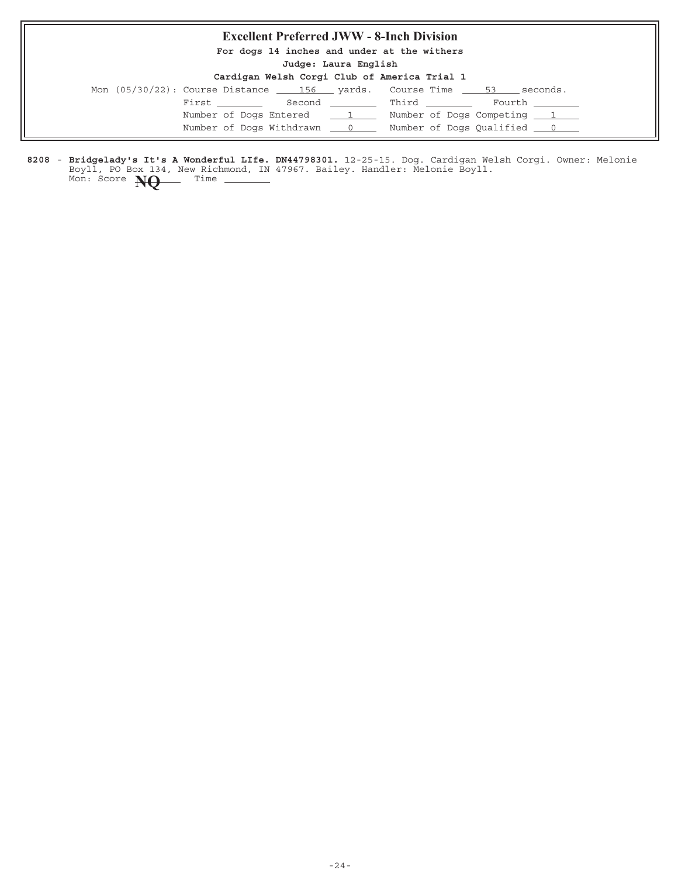### **Excellent Preferred JWW - 8-Inch Division**

**For dogs 14 inches and under at the withers**

**Judge: Laura English**

| Cardigan Welsh Corgi Club of America Trial 1 |  |  |  |  |  |  |  |
|----------------------------------------------|--|--|--|--|--|--|--|
|----------------------------------------------|--|--|--|--|--|--|--|

|  |  |  |                            | Mon $(05/30/22)$ : Course Distance $\_\_$ 156 yards. Course Time $\_\_$ 53 seconds. |  |                                   |  |
|--|--|--|----------------------------|-------------------------------------------------------------------------------------|--|-----------------------------------|--|
|  |  |  |                            |                                                                                     |  |                                   |  |
|  |  |  | Number of Dogs Entered 1   |                                                                                     |  | Number of Dogs Competing 1        |  |
|  |  |  | Number of Dogs Withdrawn 0 |                                                                                     |  | Number of Dogs Qualified <u>0</u> |  |
|  |  |  |                            |                                                                                     |  |                                   |  |

8208 - Bridgelady's It's A Wonderful LIfe. DN44798301. 12-25-15. Dog. Cardigan Welsh Corgi. Owner: Melonie Boyll, PO Box 134, New Richmond, IN 47967. Bailey. Handler: Melonie Boyll. **Bridgelady's It's A Wonderful LIfe. DN44798301.** Mon: Score **NQ** Time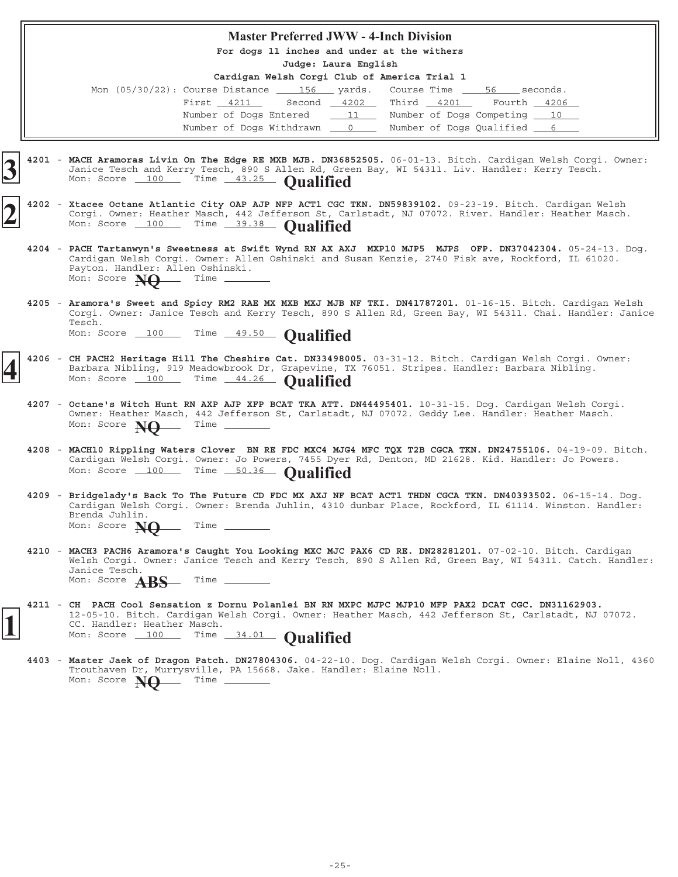#### **Master Preferred JWW - 4-Inch Division**

**For dogs 11 inches and under at the withers**

**Judge: Laura English**

| Mon $(05/30/22)$ : Course Distance $\underline{\qquad}$ 156 yards. Course Time $\underline{\qquad}$ 56 seconds. |                                                                  |  |                                        |  |
|-----------------------------------------------------------------------------------------------------------------|------------------------------------------------------------------|--|----------------------------------------|--|
|                                                                                                                 | First 4211 Second 4202 Third 4201 Fourth 4206                    |  |                                        |  |
|                                                                                                                 | Number of Dogs Entered __ 11 _ Number of Dogs Competing __ 10 __ |  |                                        |  |
|                                                                                                                 | Number of Dogs Withdrawn 0                                       |  | Number of Dogs Qualified <u>______</u> |  |

- 4201 MACH Aramoras Livin On The Edge RE MXB MJB. DN36852505. 06-01-13. Bitch. Cardigan Welsh Corgi. Owner: Janice Tesch and Kerry Tesch, 890 S Allen Rd, Green Bay, WI 54311. Liv. Handler: Kerry Tesch. **MACH Aramoras Livin On The Edge RE MXB MJB. DN36852505. 3** Mon: Score 100 Time 43.25 **Qualified**
- 4202 Xtacee Octane Atlantic City OAP AJP NFP ACT1 CGC TKN. DN59839102. 09-23-19. Bitch. Cardigan Welsh Corgi. Owner: Heather Masch, 442 Jefferson St, Carlstadt, NJ 07072. River. Handler: Heather Masch. **Xtacee Octane Atlantic City OAP AJP NFP ACT1 CGC TKN. DN59839102. 2** Mon: Score 100 Time 39.38 **Qualified**
- **4204** 05-24-13. Dog. **PACH Tartanwyn's Sweetness at Swift Wynd RN AX AXJ MXP10 MJP5 MJPS OFP. DN37042304.** Cardigan Welsh Corgi. Owner: Allen Oshinski and Susan Kenzie, 2740 Fisk ave, Rockford, IL 61020. Payton. Handler: Allen Oshinski.<br>Mon: Score **Net** Time \_\_\_\_\_  $Mon: Score$   $NQ$
- 4205 Aramora's Sweet and Spicy RM2 RAE MX MXB MXJ MJB NF TKI. DN41787201. 01-16-15. Bitch. Cardigan Welsh Corgi. Owner: Janice Tesch and Kerry Tesch, 890 S Allen Rd, Green Bay, WI 54311. Chai. Handler: Janice Tesch. Mon: Score 100 Time 49.50 **Qualified**
- 4206 CH PACH2 Heritage Hill The Cheshire Cat. DN33498005. 03-31-12. Bitch. Cardigan Welsh Corgi. Owner: Barbara Nibling, 919 Meadowbrook Dr, Grapevine, TX 76051. Stripes. Handler: Barbara Nibling. Mon: Score 100 Time 44.26 **Qualified**
- 4207 Octane's Witch Hunt RN AXP AJP XFP BCAT TKA ATT. DN44495401. 10-31-15. Dog. Cardigan Welsh Corgi. Owner: Heather Masch, 442 Jefferson St, Carlstadt, NJ 07072. Geddy Lee. Handler: Heather Masch. Mon: Score **NO** Time -
- 4208 MACH10 Rippling Waters Clover BN RE FDC MXC4 MJG4 MFC TQX T2B CGCA TKN. DN24755106. 04-19-09. Bitch. Cardigan Welsh Corgi. Owner: Jo Powers, 7455 Dyer Rd, Denton, MD 21628. Kid. Handler: Jo Powers. Mon: Score 100 Time 50.36 **Qualified**
- **4209** 06-15-14. Dog. **Bridgelady's Back To The Future CD FDC MX AXJ NF BCAT ACT1 THDN CGCA TKN. DN40393502.** Cardigan Welsh Corgi. Owner: Brenda Juhlin, 4310 dunbar Place, Rockford, IL 61114. Winston. Handler: Brenda Juhlin. Mon: Score **NO** Time \_
- 4210 MACH3 PACH6 Aramora's Caught You Looking MXC MJC PAX6 CD RE. DN28281201. 07-02-10. Bitch. Cardigan Welsh Corgi. Owner: Janice Tesch and Kerry Tesch, 890 S Allen Rd, Green Bay, WI 54311. Catch. Handler: Janice Tesch. Mon: Score **ABS** Time -
- **4211 CH PACH Cool Sensation z Dornu Polanlei BN RN MXPC MJPC MJP10 MFP PAX2 DCAT CGC. DN31162903.** 12-05-10. Bitch. Cardigan Welsh Corgi. Owner: Heather Masch, 442 Jefferson St, Carlstadt, NJ 07072. CC. Handler: Heather Masch. **1** Mon: Score 100 Time 34.01 **Qualified**
	- 4403 Master Jaek of Dragon Patch. DN27804306. 04-22-10. Dog. Cardigan Welsh Corgi. Owner: Elaine Noll, 4360 Trouthaven Dr, Murrysville, PA 15668. Jake. Handler: Elaine Noll.<br>Mon: Score  $M\Omega$  Time \_\_\_\_\_\_\_ Mon: Score **NO**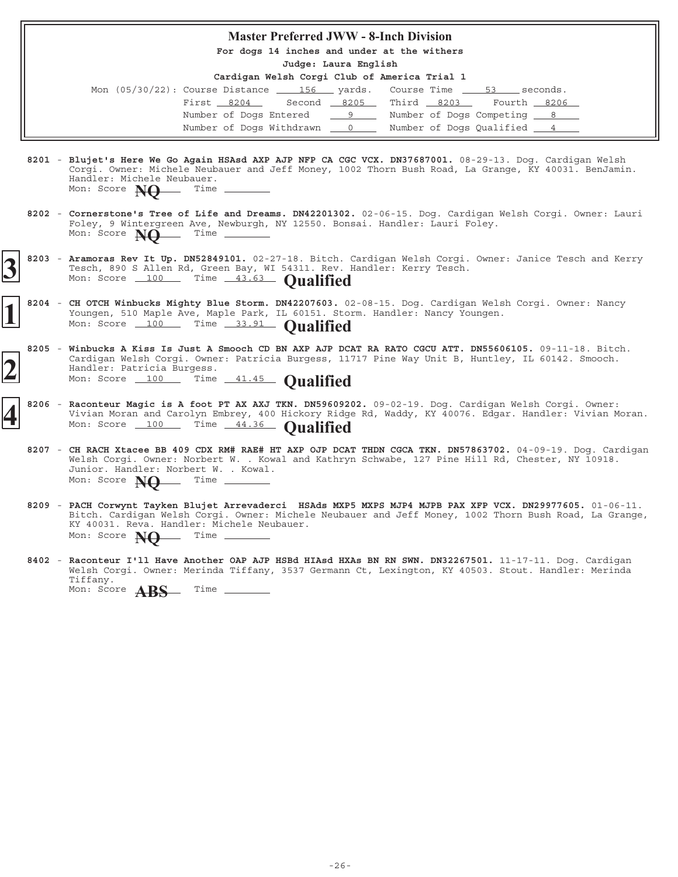#### **Master Preferred JWW - 8-Inch Division**

**For dogs 14 inches and under at the withers**

**Judge: Laura English**

| Mon $(05/30/22)$ : Course Distance $\underline{\hspace{1cm}}$ 156 $\underline{\hspace{1cm}}$ yards. Course Time $\underline{\hspace{1cm}}$ 53 |  |                             |             | seconds. |
|-----------------------------------------------------------------------------------------------------------------------------------------------|--|-----------------------------|-------------|----------|
| First 8204                                                                                                                                    |  | Second 8205 Third 8203      | Fourth 8206 |          |
| Number of Dogs Entered 9                                                                                                                      |  | Number of Dogs Competing 8  |             |          |
| Number of Dogs Withdrawn 0                                                                                                                    |  | Number of Dogs Qualified 14 |             |          |

- 8201 Blujet's Here We Go Again HSAsd AXP AJP NFP CA CGC VCX. DN37687001. 08-29-13. Dog. Cardigan Welsh Corgi. Owner: Michele Neubauer and Jeff Money, 1002 Thorn Bush Road, La Grange, KY 40031. BenJamin. Handler: Michele Neubauer.<br>Mon: Score **Net** Time Mon: Score **NQ**
- 8202 Cornerstone's Tree of Life and Dreams. DN42201302. 02-06-15. Dog. Cardigan Welsh Corgi. Owner: Lauri Foley, 9 Wintergreen Ave, Newburgh, NY 12550. Bonsai. Handler: Lauri Foley. Mon: Score **NO** Time \_
- 8203 Aramoras Rev It Up. DN52849101. 02-27-18. Bitch. Cardigan Welsh Corgi. Owner: Janice Tesch and Kerry Tesch, 890 S Allen Rd, Green Bay, WI 54311. Rev. Handler: Kerry Tesch. **3** 8203 - Aramoras Rev It Up. DN52849101. 02-27-18. Bitch. Tesch, 890 S Allen Rd, Green Bay, WI 54311. Rev. 1 Mon: Score 100 Time 43.63 **Qualified**
- 8204 CH OTCH Winbucks Mighty Blue Storm. DN42207603. 02-08-15. Dog. Cardigan Welsh Corgi. Owner: Nancy Youngen, 510 Maple Ave, Maple Park, IL 60151. Storm. Handler: Nancy Youngen. Mon: Score 100 Time 33.91 **Qualified**
- 8205 Winbucks A Kiss Is Just A Smooch CD BN AXP AJP DCAT RA RATO CGCU ATT. DN55606105. 09-11-18. Bitch. Cardigan Welsh Corgi. Owner: Patricia Burgess, 11717 Pine Way Unit B, Huntley, IL 60142. Smooch. Handler: Patricia Burgess. **2** Mon: Score 100 Months Correct Patricia Burgess, 11 Mon: Score 100 Time 41.45 **Qualified**
- 8206 Raconteur Magic is A foot PT AX AXJ TKN. DN59609202. 09-02-19. Dog. Cardigan Welsh Corgi. Owner: Vivian Moran and Carolyn Embrey, 400 Hickory Ridge Rd, Waddy, KY 40076. Edgar. Handler: Vivian Moran. **Racistance Contract Contract Property**, 400 Hickory Ridge Mon: Score 100 Time 44.36 **Qualified** 
	- **8207** 04-09-19. Dog. Cardigan **CH RACH Xtacee BB 409 CDX RM# RAE# HT AXP OJP DCAT THDN CGCA TKN. DN57863702.** Welsh Corgi. Owner: Norbert W. . Kowal and Kathryn Schwabe, 127 Pine Hill Rd, Chester, NY 10918. Junior. Handler: Norbert W. . Kowal.<br>Mon: Score **New** Time \_\_\_\_\_\_\_\_\_ Mon: Score **NO**
	- 8209 PACH Corwynt Tayken Blujet Arrevaderci HSAds MXP5 MXPS MJP4 MJPB PAX XFP VCX. DN29977605. 01-06-11. Bitch. Cardigan Welsh Corgi. Owner: Michele Neubauer and Jeff Money, 1002 Thorn Bush Road, La Grange, KY 40031. Reva. Handler: Michele Neubauer. Mon: Score **NO** Time -
	- 8402 Raconteur I'll Have Another OAP AJP HSBd HIAsd HXAs BN RN SWN. DN32267501. 11-17-11. Dog. Cardigan Welsh Corgi. Owner: Merinda Tiffany, 3537 Germann Ct, Lexington, KY 40503. Stout. Handler: Merinda Tiffany. Mon: Score **ABS** Time \_\_\_\_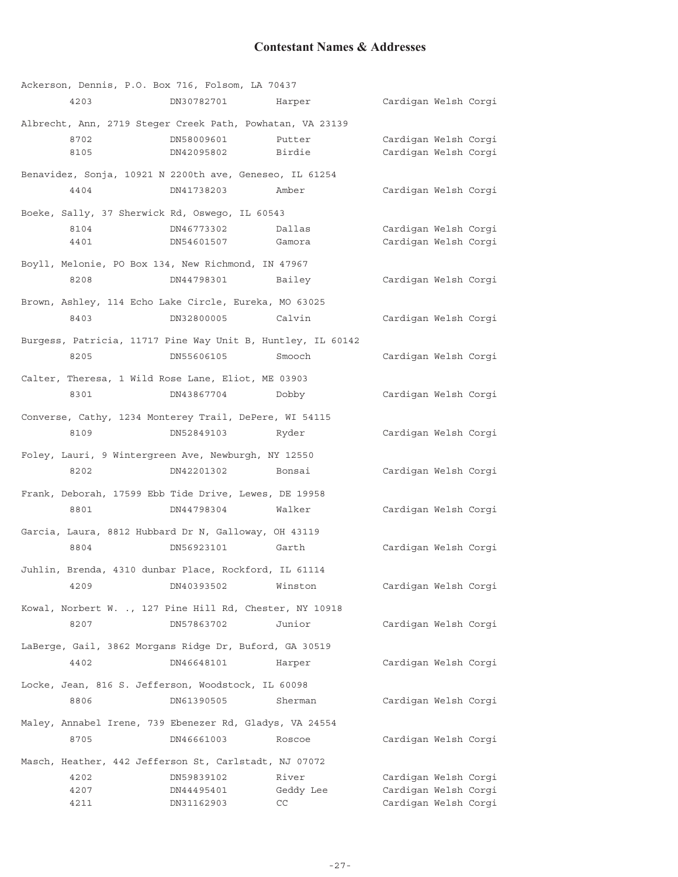## **Contestant Names & Addresses**

|      | Ackerson, Dennis, P.O. Box 716, Folsom, LA 70437            |           |                      |  |
|------|-------------------------------------------------------------|-----------|----------------------|--|
| 4203 | DN30782701                                                  | Harper    | Cardigan Welsh Corgi |  |
|      | Albrecht, Ann, 2719 Steger Creek Path, Powhatan, VA 23139   |           |                      |  |
| 8702 | DN58009601                                                  | Putter    | Cardigan Welsh Corgi |  |
| 8105 | DN42095802                                                  | Birdie    | Cardigan Welsh Corgi |  |
|      | Benavidez, Sonja, 10921 N 2200th ave, Geneseo, IL 61254     |           |                      |  |
| 4404 | DN41738203                                                  | Amber     | Cardigan Welsh Corgi |  |
|      | Boeke, Sally, 37 Sherwick Rd, Oswego, IL 60543              |           |                      |  |
| 8104 | DN46773302                                                  | Dallas    | Cardigan Welsh Corgi |  |
| 4401 | DN54601507                                                  | Gamora    | Cardigan Welsh Corgi |  |
|      | Boyll, Melonie, PO Box 134, New Richmond, IN 47967          |           |                      |  |
| 8208 | DN44798301                                                  | Bailey    | Cardigan Welsh Corgi |  |
|      | Brown, Ashley, 114 Echo Lake Circle, Eureka, MO 63025       |           |                      |  |
| 8403 | DN32800005                                                  | Calvin    | Cardigan Welsh Corgi |  |
|      | Burgess, Patricia, 11717 Pine Way Unit B, Huntley, IL 60142 |           |                      |  |
| 8205 | DN55606105                                                  | Smooch    | Cardigan Welsh Corgi |  |
|      | Calter, Theresa, 1 Wild Rose Lane, Eliot, ME 03903          |           |                      |  |
| 8301 | DN43867704                                                  | Dobby     | Cardigan Welsh Corgi |  |
|      | Converse, Cathy, 1234 Monterey Trail, DePere, WI 54115      |           |                      |  |
| 8109 | DN52849103                                                  | Ryder     | Cardigan Welsh Corgi |  |
|      | Foley, Lauri, 9 Wintergreen Ave, Newburgh, NY 12550         |           |                      |  |
| 8202 | DN42201302                                                  | Bonsai    | Cardigan Welsh Corgi |  |
|      | Frank, Deborah, 17599 Ebb Tide Drive, Lewes, DE 19958       |           |                      |  |
| 8801 | DN44798304                                                  | Walker    | Cardigan Welsh Corgi |  |
|      | Garcia, Laura, 8812 Hubbard Dr N, Galloway, OH 43119        |           |                      |  |
| 8804 | DN56923101                                                  | Garth     | Cardigan Welsh Corgi |  |
|      | Juhlin, Brenda, 4310 dunbar Place, Rockford, IL 61114       |           |                      |  |
| 4209 | DN40393502                                                  | Winston   | Cardigan Welsh Corgi |  |
|      | Kowal, Norbert W. ., 127 Pine Hill Rd, Chester, NY 10918    |           |                      |  |
| 8207 | DN57863702                                                  | Junior    | Cardigan Welsh Corgi |  |
|      | LaBerge, Gail, 3862 Morgans Ridge Dr, Buford, GA 30519      |           |                      |  |
| 4402 | DN46648101                                                  | Harper    | Cardigan Welsh Corgi |  |
|      | Locke, Jean, 816 S. Jefferson, Woodstock, IL 60098          |           |                      |  |
| 8806 | DN61390505                                                  | Sherman   | Cardigan Welsh Corgi |  |
|      | Maley, Annabel Irene, 739 Ebenezer Rd, Gladys, VA 24554     |           |                      |  |
| 8705 | DN46661003                                                  | Roscoe    | Cardigan Welsh Corgi |  |
|      | Masch, Heather, 442 Jefferson St, Carlstadt, NJ 07072       |           |                      |  |
| 4202 | DN59839102                                                  | River     | Cardigan Welsh Corgi |  |
| 4207 | DN44495401                                                  | Geddy Lee | Cardigan Welsh Corgi |  |
| 4211 | DN31162903                                                  | CC        | Cardigan Welsh Corgi |  |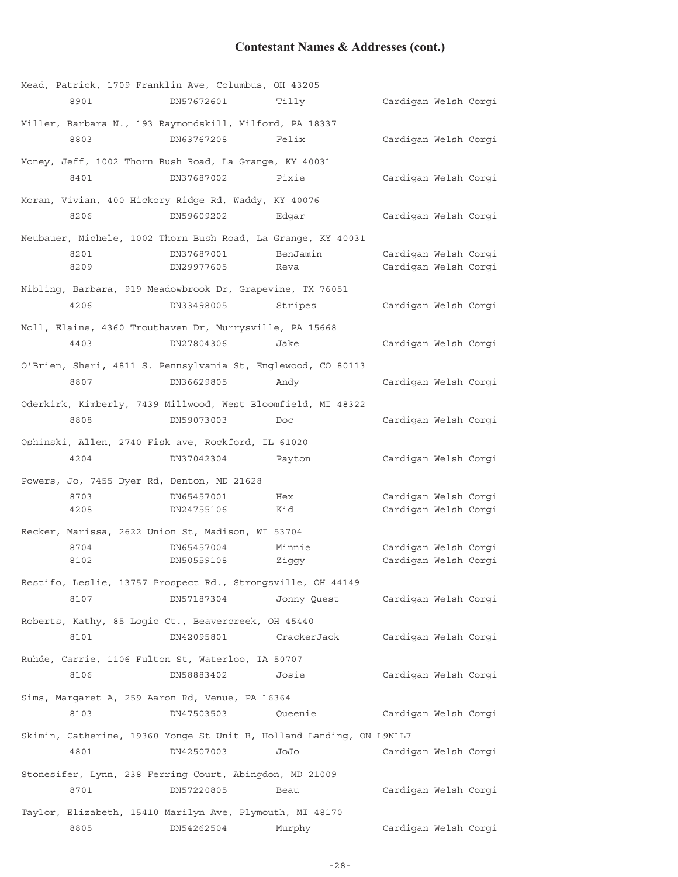# **Contestant Names & Addresses (cont.)**

|                                            | Mead, Patrick, 1709 Franklin Ave, Columbus, OH 43205         |                                                                      |                      |  |
|--------------------------------------------|--------------------------------------------------------------|----------------------------------------------------------------------|----------------------|--|
| 8901                                       | DN57672601                                                   | Tilly                                                                | Cardigan Welsh Corgi |  |
|                                            | Miller, Barbara N., 193 Raymondskill, Milford, PA 18337      |                                                                      |                      |  |
| 8803                                       | DN63767208                                                   | Felix                                                                | Cardigan Welsh Corgi |  |
|                                            | Money, Jeff, 1002 Thorn Bush Road, La Grange, KY 40031       |                                                                      |                      |  |
| 8401                                       | DN37687002                                                   | Pixie                                                                | Cardigan Welsh Corgi |  |
|                                            | Moran, Vivian, 400 Hickory Ridge Rd, Waddy, KY 40076         |                                                                      |                      |  |
| 8206                                       | DN59609202                                                   | Edqar                                                                | Cardigan Welsh Corgi |  |
|                                            | Neubauer, Michele, 1002 Thorn Bush Road, La Grange, KY 40031 |                                                                      |                      |  |
| 8201                                       | DN37687001                                                   | BenJamin                                                             | Cardigan Welsh Corgi |  |
| 8209                                       | DN29977605                                                   | Reva                                                                 | Cardigan Welsh Corgi |  |
|                                            | Nibling, Barbara, 919 Meadowbrook Dr, Grapevine, TX 76051    |                                                                      |                      |  |
| 4206                                       | DN33498005                                                   | Stripes                                                              | Cardigan Welsh Corgi |  |
|                                            | Noll, Elaine, 4360 Trouthaven Dr, Murrysville, PA 15668      |                                                                      |                      |  |
| 4403                                       | DN27804306                                                   | Jake                                                                 | Cardigan Welsh Corgi |  |
|                                            | O'Brien, Sheri, 4811 S. Pennsylvania St, Englewood, CO 80113 |                                                                      |                      |  |
| 8807                                       | DN36629805                                                   | Andy                                                                 | Cardigan Welsh Corgi |  |
|                                            | Oderkirk, Kimberly, 7439 Millwood, West Bloomfield, MI 48322 |                                                                      |                      |  |
| 8808                                       | DN59073003                                                   | Doc                                                                  | Cardigan Welsh Corgi |  |
|                                            | Oshinski, Allen, 2740 Fisk ave, Rockford, IL 61020           |                                                                      |                      |  |
| 4204                                       | DN37042304                                                   | Payton                                                               | Cardigan Welsh Corgi |  |
| Powers, Jo, 7455 Dyer Rd, Denton, MD 21628 |                                                              |                                                                      |                      |  |
| 8703                                       | DN65457001                                                   | Hex                                                                  | Cardigan Welsh Corgi |  |
| 4208                                       | DN24755106                                                   | Kid                                                                  | Cardigan Welsh Corgi |  |
|                                            | Recker, Marissa, 2622 Union St, Madison, WI 53704            |                                                                      |                      |  |
| 8704                                       | DN65457004                                                   | Minnie                                                               | Cardigan Welsh Corgi |  |
| 8102                                       | DN50559108                                                   | Ziggy                                                                | Cardigan Welsh Corgi |  |
|                                            | Restifo, Leslie, 13757 Prospect Rd., Strongsville, OH 44149  |                                                                      |                      |  |
| 8107                                       | DN57187304                                                   | Jonny Quest                                                          | Cardigan Welsh Corgi |  |
|                                            | Roberts, Kathy, 85 Logic Ct., Beavercreek, OH 45440          |                                                                      |                      |  |
| 8101                                       | DN42095801                                                   | CrackerJack                                                          | Cardigan Welsh Corgi |  |
|                                            | Ruhde, Carrie, 1106 Fulton St, Waterloo, IA 50707            |                                                                      |                      |  |
| 8106                                       | DN58883402                                                   | Josie                                                                | Cardigan Welsh Corgi |  |
|                                            | Sims, Margaret A, 259 Aaron Rd, Venue, PA 16364              |                                                                      |                      |  |
| 8103                                       | DN47503503                                                   | Queenie                                                              | Cardigan Welsh Corgi |  |
|                                            |                                                              | Skimin, Catherine, 19360 Yonge St Unit B, Holland Landing, ON L9N1L7 |                      |  |
| 4801                                       | DN42507003                                                   | JoJo                                                                 | Cardigan Welsh Corgi |  |
|                                            | Stonesifer, Lynn, 238 Ferring Court, Abingdon, MD 21009      |                                                                      |                      |  |
| 8701                                       | DN57220805                                                   | Beau                                                                 | Cardigan Welsh Corgi |  |
|                                            | Taylor, Elizabeth, 15410 Marilyn Ave, Plymouth, MI 48170     |                                                                      |                      |  |
| 8805                                       | DN54262504                                                   | Murphy                                                               | Cardigan Welsh Corgi |  |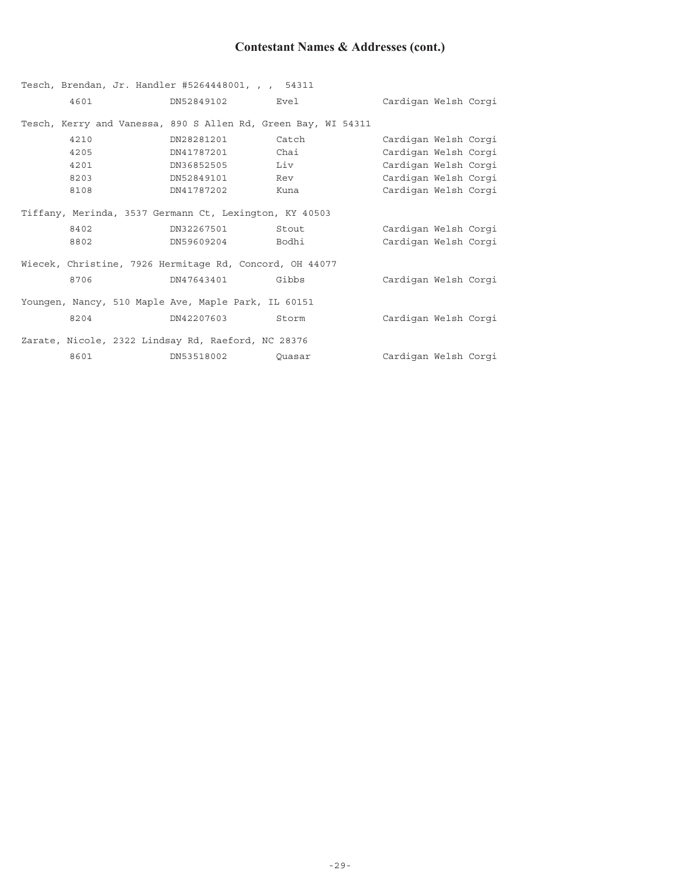# **Contestant Names & Addresses (cont.)**

|      | Tesch, Brendan, Jr. Handler #5264448001, , , 54311            |        |                      |
|------|---------------------------------------------------------------|--------|----------------------|
| 4601 | DN52849102                                                    | Evel   | Cardigan Welsh Corgi |
|      | Tesch, Kerry and Vanessa, 890 S Allen Rd, Green Bay, WI 54311 |        |                      |
| 4210 | DN28281201                                                    | Catch  | Cardigan Welsh Corgi |
| 4205 | DN41787201                                                    | Chai   | Cardigan Welsh Corgi |
| 4201 | DN36852505                                                    | Liv    | Cardigan Welsh Corgi |
| 8203 | DN52849101                                                    | Rev    | Cardigan Welsh Corgi |
| 8108 | DN41787202                                                    | Kuna   | Cardigan Welsh Corgi |
|      | Tiffany, Merinda, 3537 Germann Ct, Lexington, KY 40503        |        |                      |
| 8402 | DN32267501                                                    | Stout  | Cardigan Welsh Corgi |
| 8802 | DN59609204                                                    | Bodhi  | Cardigan Welsh Corgi |
|      | Wiecek, Christine, 7926 Hermitage Rd, Concord, OH 44077       |        |                      |
| 8706 | DN47643401                                                    | Gibbs  | Cardigan Welsh Corgi |
|      | Youngen, Nancy, 510 Maple Ave, Maple Park, IL 60151           |        |                      |
| 8204 | DN42207603                                                    | Storm  | Cardigan Welsh Corgi |
|      | Zarate, Nicole, 2322 Lindsay Rd, Raeford, NC 28376            |        |                      |
| 8601 | DN53518002                                                    | Ouasar | Cardigan Welsh Corgi |